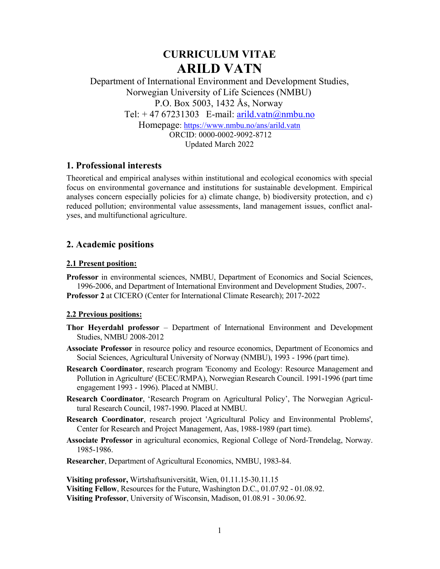# CURRICULUM VITAE ARILD VATN

Department of International Environment and Development Studies, Norwegian University of Life Sciences (NMBU) P.O. Box 5003, 1432 Ås, Norway Tel:  $+4767231303$  E-mail: arild.vatn@nmbu.no Homepage: https://www.nmbu.no/ans/arild.vatn ORCID: 0000-0002-9092-8712 Updated March 2022

# 1. Professional interests

Theoretical and empirical analyses within institutional and ecological economics with special focus on environmental governance and institutions for sustainable development. Empirical analyses concern especially policies for a) climate change, b) biodiversity protection, and c) reduced pollution; environmental value assessments, land management issues, conflict analyses, and multifunctional agriculture.

# 2. Academic positions

### 2.1 Present position:

Professor in environmental sciences, NMBU, Department of Economics and Social Sciences, 1996-2006, and Department of International Environment and Development Studies, 2007-. Professor 2 at CICERO (Center for International Climate Research); 2017-2022

### 2.2 Previous positions:

- Thor Heyerdahl professor Department of International Environment and Development Studies, NMBU 2008-2012
- Associate Professor in resource policy and resource economics, Department of Economics and Social Sciences, Agricultural University of Norway (NMBU), 1993 - 1996 (part time).
- Research Coordinator, research program 'Economy and Ecology: Resource Management and Pollution in Agriculture' (ECEC/RMPA), Norwegian Research Council. 1991-1996 (part time engagement 1993 - 1996). Placed at NMBU.
- Research Coordinator, 'Research Program on Agricultural Policy', The Norwegian Agricultural Research Council, 1987-1990. Placed at NMBU.
- Research Coordinator, research project 'Agricultural Policy and Environmental Problems', Center for Research and Project Management, Aas, 1988-1989 (part time).
- Associate Professor in agricultural economics, Regional College of Nord-Trøndelag, Norway. 1985-1986.
- Researcher, Department of Agricultural Economics, NMBU, 1983-84.

Visiting professor, Wirtshaftsuniversität, Wien, 01.11.15-30.11.15 Visiting Fellow, Resources for the Future, Washington D.C., 01.07.92 - 01.08.92. Visiting Professor, University of Wisconsin, Madison, 01.08.91 - 30.06.92.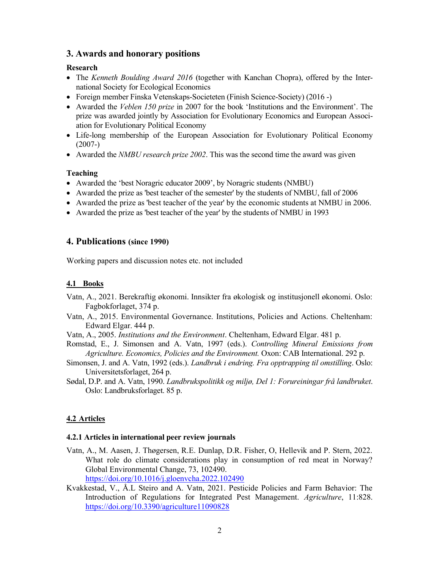### 3. Awards and honorary positions

#### Research

- The Kenneth Boulding Award 2016 (together with Kanchan Chopra), offered by the International Society for Ecological Economics
- Foreign member Finska Vetenskaps-Societeten (Finish Science-Society) (2016 -)
- Awarded the Veblen 150 prize in 2007 for the book 'Institutions and the Environment'. The prize was awarded jointly by Association for Evolutionary Economics and European Association for Evolutionary Political Economy
- Life-long membership of the European Association for Evolutionary Political Economy (2007-)
- Awarded the *NMBU research prize 2002*. This was the second time the award was given

#### Teaching

- Awarded the 'best Noragric educator 2009', by Noragric students (NMBU)
- Awarded the prize as 'best teacher of the semester' by the students of NMBU, fall of 2006
- Awarded the prize as 'best teacher of the year' by the economic students at NMBU in 2006.
- Awarded the prize as 'best teacher of the year' by the students of NMBU in 1993

#### 4. Publications (since 1990)

Working papers and discussion notes etc. not included

#### 4.1 Books

- Vatn, A., 2021. Berekraftig økonomi. Innsikter fra økologisk og institusjonell økonomi. Oslo: Fagbokforlaget, 374 p.
- Vatn, A., 2015. Environmental Governance. Institutions, Policies and Actions. Cheltenham: Edward Elgar. 444 p.
- Vatn, A., 2005. Institutions and the Environment. Cheltenham, Edward Elgar. 481 p.
- Romstad, E., J. Simonsen and A. Vatn, 1997 (eds.). Controlling Mineral Emissions from Agriculture. Economics, Policies and the Environment. Oxon: CAB International. 292 p.
- Simonsen, J. and A. Vatn, 1992 (eds.). Landbruk i endring. Fra opptrapping til omstilling. Oslo: Universitetsforlaget, 264 p.
- Sødal, D.P. and A. Vatn, 1990. Landbrukspolitikk og miljø, Del 1: Forureiningar frå landbruket. Oslo: Landbruksforlaget. 85 p.

### 4.2 Articles

#### 4.2.1 Articles in international peer review journals

- Vatn, A., M. Aasen, J. Thøgersen, R.E. Dunlap, D.R. Fisher, O, Hellevik and P. Stern, 2022. What role do climate considerations play in consumption of red meat in Norway? Global Environmental Change, 73, 102490. https://doi.org/10.1016/j.gloenvcha.2022.102490
- Kvakkestad, V., Å.L Steiro and A. Vatn, 2021. Pesticide Policies and Farm Behavior: The Introduction of Regulations for Integrated Pest Management. Agriculture, 11:828. https://doi.org/10.3390/agriculture11090828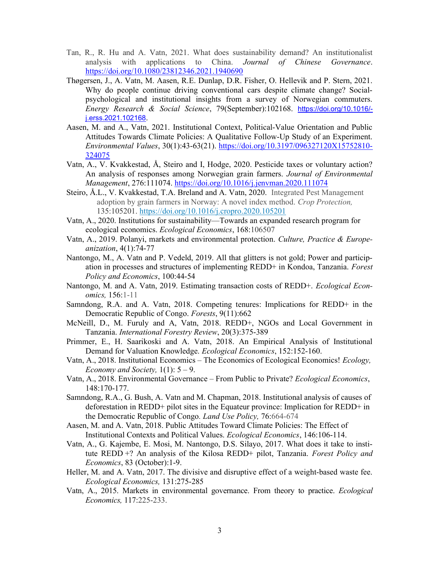- Tan, R., R. Hu and A. Vatn, 2021. What does sustainability demand? An institutionalist analysis with applications to China. Journal of Chinese Governance. https://doi.org/10.1080/23812346.2021.1940690
- Thøgersen, J., A. Vatn, M. Aasen, R.E. Dunlap, D.R. Fisher, O. Hellevik and P. Stern, 2021. Why do people continue driving conventional cars despite climate change? Socialpsychological and institutional insights from a survey of Norwegian commuters. Energy Research & Social Science, 79(September):102168. https://doi.org/10.1016/ j.erss.2021.102168.
- Aasen, M. and A., Vatn, 2021. Institutional Context, Political-Value Orientation and Public Attitudes Towards Climate Policies: A Qualitative Follow-Up Study of an Experiment. Environmental Values, 30(1):43-63(21). https://doi.org/10.3197/096327120X15752810- 324075
- Vatn, A., V. Kvakkestad, Å, Steiro and I, Hodge, 2020. Pesticide taxes or voluntary action? An analysis of responses among Norwegian grain farmers. Journal of Environmental Management, 276:111074. https://doi.org/10.1016/j.jenvman.2020.111074
- Steiro, Å.L., V. Kvakkestad, T.A. Breland and A. Vatn, 2020. Integrated Pest Management adoption by grain farmers in Norway: A novel index method. Crop Protection, 135:105201. https://doi.org/10.1016/j.cropro.2020.105201
- Vatn, A., 2020. Institutions for sustainability—Towards an expanded research program for ecological economics. Ecological Economics, 168:106507
- Vatn, A., 2019. Polanyi, markets and environmental protection. Culture, Practice & Europeanization, 4(1):74-77
- Nantongo, M., A. Vatn and P. Vedeld, 2019. All that glitters is not gold; Power and participation in processes and structures of implementing REDD+ in Kondoa, Tanzania. Forest Policy and Economics, 100:44-54
- Nantongo, M. and A. Vatn, 2019. Estimating transaction costs of REDD+. Ecological Economics, 156:1-11
- Samndong, R.A. and A. Vatn, 2018. Competing tenures: Implications for REDD+ in the Democratic Republic of Congo. Forests, 9(11):662
- McNeill, D., M. Furuly and A, Vatn, 2018. REDD+, NGOs and Local Government in Tanzania. International Forestry Review, 20(3):375-389
- Primmer, E., H. Saarikoski and A. Vatn, 2018. An Empirical Analysis of Institutional Demand for Valuation Knowledge. Ecological Economics, 152:152-160.
- Vatn, A., 2018. Institutional Economics The Economics of Ecological Economics! Ecology, Economy and Society,  $1(1)$ :  $5 - 9$ .
- Vatn, A., 2018. Environmental Governance From Public to Private? Ecological Economics, 148:170-177.
- Samndong, R.A., G. Bush, A. Vatn and M. Chapman, 2018. Institutional analysis of causes of deforestation in REDD+ pilot sites in the Equateur province: Implication for REDD+ in the Democratic Republic of Congo. Land Use Policy, 76:664-674
- Aasen, M. and A. Vatn, 2018. Public Attitudes Toward Climate Policies: The Effect of Institutional Contexts and Political Values. Ecological Economics, 146:106-114.
- Vatn, A., G. Kajembe, E. Mosi, M. Nantongo, D.S. Silayo, 2017. What does it take to institute REDD +? An analysis of the Kilosa REDD+ pilot, Tanzania. Forest Policy and Economics, 83 (October):1-9.
- Heller, M. and A. Vatn, 2017. The divisive and disruptive effect of a weight-based waste fee. Ecological Economics, 131:275-285
- Vatn, A., 2015. Markets in environmental governance. From theory to practice. Ecological Economics, 117:225-233.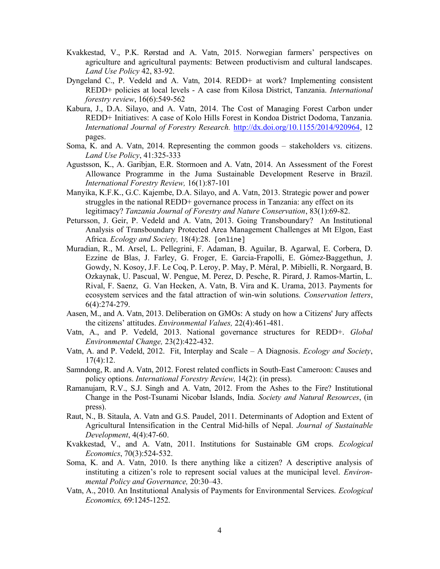- Kvakkestad, V., P.K. Rørstad and A. Vatn, 2015. Norwegian farmers' perspectives on agriculture and agricultural payments: Between productivism and cultural landscapes. Land Use Policy 42, 83-92.
- Dyngeland C., P. Vedeld and A. Vatn, 2014. REDD+ at work? Implementing consistent REDD+ policies at local levels - A case from Kilosa District, Tanzania. International forestry review, 16(6):549-562
- Kabura, J., D.A. Silayo, and A. Vatn, 2014. The Cost of Managing Forest Carbon under REDD+ Initiatives: A case of Kolo Hills Forest in Kondoa District Dodoma, Tanzania. International Journal of Forestry Research. http://dx.doi.org/10.1155/2014/920964, 12 pages.
- Soma, K. and A. Vatn, 2014. Representing the common goods stakeholders vs. citizens. Land Use Policy, 41:325-333
- Agustsson, K., A. Garibjan, E.R. Stormoen and A. Vatn, 2014. An Assessment of the Forest Allowance Programme in the Juma Sustainable Development Reserve in Brazil. International Forestry Review, 16(1):87-101
- Manyika, K.F.K., G.C. Kajembe, D.A. Silayo, and A. Vatn, 2013. Strategic power and power struggles in the national REDD+ governance process in Tanzania: any effect on its legitimacy? Tanzania Journal of Forestry and Nature Conservation, 83(1):69-82.
- Petursson, J. Geir, P. Vedeld and A. Vatn, 2013. Going Transboundary? An Institutional Analysis of Transboundary Protected Area Management Challenges at Mt Elgon, East Africa. Ecology and Society, 18(4):28. [online]
- Muradian, R., M. Arsel, L. Pellegrini, F. Adaman, B. Aguilar, B. Agarwal, E. Corbera, D. Ezzine de Blas, J. Farley, G. Froger, E. Garcia-Frapolli, E. Gómez-Baggethun, J. Gowdy, N. Kosoy, J.F. Le Coq, P. Leroy, P. May, P. Méral, P. Mibielli, R. Norgaard, B. Ozkaynak, U. Pascual, W. Pengue, M. Perez, D. Pesche, R. Pirard, J. Ramos-Martin, L. Rival, F. Saenz, G. Van Hecken, A. Vatn, B. Vira and K. Urama, 2013. Payments for ecosystem services and the fatal attraction of win-win solutions. Conservation letters, 6(4):274-279.
- Aasen, M., and A. Vatn, 2013. Deliberation on GMOs: A study on how a Citizens' Jury affects the citizens' attitudes. Environmental Values, 22(4):461-481.
- Vatn, A., and P. Vedeld, 2013. National governance structures for REDD+. Global Environmental Change, 23(2):422-432.
- Vatn, A. and P. Vedeld, 2012. Fit, Interplay and Scale A Diagnosis. Ecology and Society, 17(4):12.
- Samndong, R. and A. Vatn, 2012. Forest related conflicts in South-East Cameroon: Causes and policy options. International Forestry Review, 14(2): (in press).
- Ramanujam, R.V., S.J. Singh and A. Vatn, 2012. From the Ashes to the Fire? Institutional Change in the Post-Tsunami Nicobar Islands, India. Society and Natural Resources, (in press).
- Raut, N., B. Sitaula, A. Vatn and G.S. Paudel, 2011. Determinants of Adoption and Extent of Agricultural Intensification in the Central Mid-hills of Nepal. Journal of Sustainable Development, 4(4):47-60.
- Kvakkestad, V., and A. Vatn, 2011. Institutions for Sustainable GM crops. Ecological Economics, 70(3):524-532.
- Soma, K. and A. Vatn, 2010. Is there anything like a citizen? A descriptive analysis of instituting a citizen's role to represent social values at the municipal level. Environmental Policy and Governance, 20:30–43.
- Vatn, A., 2010. An Institutional Analysis of Payments for Environmental Services. Ecological Economics, 69:1245-1252.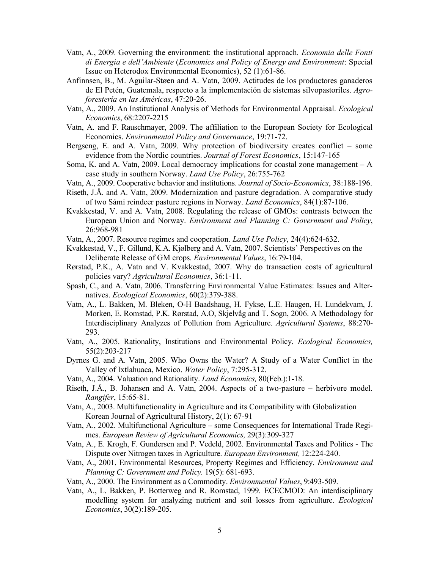- Vatn, A., 2009. Governing the environment: the institutional approach. Economia delle Fonti di Energia e dell'Ambiente (Economics and Policy of Energy and Environment: Special Issue on Heterodox Environmental Economics), 52 (1):61-86.
- Anfinnsen, B., M. Aguilar-Støen and A. Vatn, 2009. Actitudes de los productores ganaderos de El Petén, Guatemala, respecto a la implementación de sistemas silvopastoriles. Agroforestería en las Américas, 47:20-26.
- Vatn, A., 2009. An Institutional Analysis of Methods for Environmental Appraisal. Ecological Economics, 68:2207-2215
- Vatn, A. and F. Rauschmayer, 2009. The affiliation to the European Society for Ecological Economics. Environmental Policy and Governance, 19:71-72.
- Bergseng, E. and A. Vatn, 2009. Why protection of biodiversity creates conflict some evidence from the Nordic countries. Journal of Forest Economics, 15:147-165
- Soma, K. and A. Vatn, 2009. Local democracy implications for coastal zone management  $-A$ case study in southern Norway. Land Use Policy, 26:755-762
- Vatn, A., 2009. Cooperative behavior and institutions. Journal of Socio-Economics, 38:188-196.
- Riseth, J.Å. and A. Vatn, 2009. Modernization and pasture degradation. A comparative study of two Sámi reindeer pasture regions in Norway. Land Economics, 84(1):87-106.
- Kvakkestad, V. and A. Vatn, 2008. Regulating the release of GMOs: contrasts between the European Union and Norway. Environment and Planning C: Government and Policy, 26:968-981

Vatn, A., 2007. Resource regimes and cooperation. Land Use Policy, 24(4):624-632.

- Kvakkestad, V., F. Gillund, K.A. Kjølberg and A. Vatn, 2007. Scientists' Perspectives on the Deliberate Release of GM crops. Environmental Values, 16:79-104.
- Rørstad, P.K., A. Vatn and V. Kvakkestad, 2007. Why do transaction costs of agricultural policies vary? Agricultural Economics, 36:1-11.
- Spash, C., and A. Vatn, 2006. Transferring Environmental Value Estimates: Issues and Alternatives. Ecological Economics, 60(2):379-388.
- Vatn, A., L. Bakken, M. Bleken, O-H Baadshaug, H. Fykse, L.E. Haugen, H. Lundekvam, J. Morken, E. Romstad, P.K. Rørstad, A.O, Skjelvåg and T. Sogn, 2006. A Methodology for Interdisciplinary Analyzes of Pollution from Agriculture. Agricultural Systems, 88:270- 293.
- Vatn, A., 2005. Rationality, Institutions and Environmental Policy. Ecological Economics, 55(2):203-217
- Dyrnes G. and A. Vatn, 2005. Who Owns the Water? A Study of a Water Conflict in the Valley of Ixtlahuaca, Mexico. Water Policy, 7:295-312.
- Vatn, A., 2004. Valuation and Rationality. Land Economics, 80(Feb.):1-18.
- Riseth, J.Å., B. Johansen and A. Vatn, 2004. Aspects of a two-pasture herbivore model. Rangifer, 15:65-81.
- Vatn, A., 2003. Multifunctionality in Agriculture and its Compatibility with Globalization Korean Journal of Agricultural History, 2(1): 67-91
- Vatn, A., 2002. Multifunctional Agriculture some Consequences for International Trade Regimes. European Review of Agricultural Economics, 29(3):309-327
- Vatn, A., E. Krogh, F. Gundersen and P. Vedeld, 2002. Environmental Taxes and Politics The Dispute over Nitrogen taxes in Agriculture. European Environment, 12:224-240.
- Vatn, A., 2001. Environmental Resources, Property Regimes and Efficiency. Environment and Planning C: Government and Policy. 19(5): 681-693.
- Vatn, A., 2000. The Environment as a Commodity. Environmental Values, 9:493-509.
- Vatn, A., L. Bakken, P. Botterweg and R. Romstad, 1999. ECECMOD: An interdisciplinary modelling system for analyzing nutrient and soil losses from agriculture. Ecological Economics, 30(2):189-205.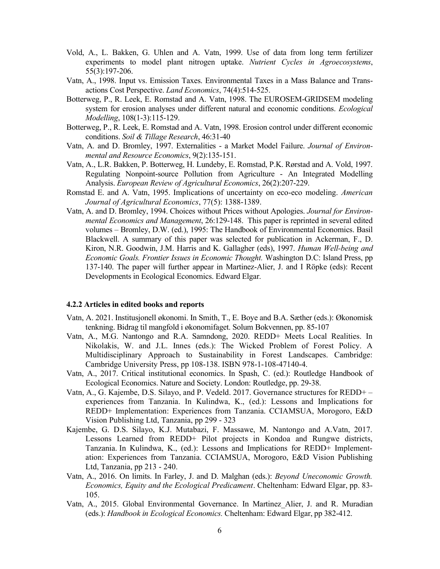- Vold, A., L. Bakken, G. Uhlen and A. Vatn, 1999. Use of data from long term fertilizer experiments to model plant nitrogen uptake. Nutrient Cycles in Agroecosystems, 55(3):197-206.
- Vatn, A., 1998. Input vs. Emission Taxes. Environmental Taxes in a Mass Balance and Transactions Cost Perspective. Land Economics, 74(4):514-525.
- Botterweg, P., R. Leek, E. Romstad and A. Vatn, 1998. The EUROSEM-GRIDSEM modeling system for erosion analyses under different natural and economic conditions. *Ecological* Modelling, 108(1-3):115-129.
- Botterweg, P., R. Leek, E. Romstad and A. Vatn, 1998. Erosion control under different economic conditions. Soil & Tillage Research, 46:31-40
- Vatn, A. and D. Bromley, 1997. Externalities a Market Model Failure. Journal of Environmental and Resource Economics, 9(2):135-151.
- Vatn, A., L.R. Bakken, P. Botterweg, H. Lundeby, E. Romstad, P.K. Rørstad and A. Vold, 1997. Regulating Nonpoint-source Pollution from Agriculture - An Integrated Modelling Analysis. European Review of Agricultural Economics, 26(2):207-229.
- Romstad E. and A. Vatn, 1995. Implications of uncertainty on eco-eco modeling. American Journal of Agricultural Economics, 77(5): 1388-1389.
- Vatn, A. and D. Bromley, 1994. Choices without Prices without Apologies. Journal for Environmental Economics and Management, 26:129-148. This paper is reprinted in several edited volumes – Bromley, D.W. (ed.), 1995: The Handbook of Environmental Economics. Basil Blackwell. A summary of this paper was selected for publication in Ackerman, F., D. Kiron, N.R. Goodwin, J.M. Harris and K. Gallagher (eds), 1997. Human Well-being and Economic Goals. Frontier Issues in Economic Thought. Washington D.C: Island Press, pp 137-140. The paper will further appear in Martinez-Alier, J. and I Röpke (eds): Recent Developments in Ecological Economics. Edward Elgar.

#### 4.2.2 Articles in edited books and reports

- Vatn, A. 2021. Institusjonell økonomi. In Smith, T., E. Boye and B.A. Sæther (eds.): Økonomisk tenkning. Bidrag til mangfold i økonomifaget. Solum Bokvennen, pp. 85-107
- Vatn, A., M.G. Nantongo and R.A. Samndong, 2020. REDD+ Meets Local Realities. In Nikolakis, W. and J.L. Innes (eds.): The Wicked Problem of Forest Policy. A Multidisciplinary Approach to Sustainability in Forest Landscapes. Cambridge: Cambridge University Press, pp 108-138. ISBN 978-1-108-47140-4.
- Vatn, A., 2017. Critical institutional economics. In Spash, C. (ed.): Routledge Handbook of Ecological Economics. Nature and Society. London: Routledge, pp. 29-38.
- Vatn, A., G. Kajembe, D.S. Silayo, and P. Vedeld. 2017. Governance structures for REDD+ experiences from Tanzania. In Kulindwa, K., (ed.): Lessons and Implications for REDD+ Implementation: Experiences from Tanzania. CCIAMSUA, Morogoro, E&D Vision Publishing Ltd, Tanzania, pp 299 - 323
- Kajembe, G. D.S. Silayo, K.J. Mutabazi, F. Massawe, M. Nantongo and A.Vatn, 2017. Lessons Learned from REDD+ Pilot projects in Kondoa and Rungwe districts, Tanzania. In Kulindwa, K., (ed.): Lessons and Implications for REDD+ Implementation: Experiences from Tanzania. CCIAMSUA, Morogoro, E&D Vision Publishing Ltd, Tanzania, pp 213 - 240.
- Vatn, A., 2016. On limits. In Farley, J. and D. Malghan (eds.): Beyond Uneconomic Growth. Economics, Equity and the Ecological Predicament. Cheltenham: Edward Elgar, pp. 83- 105.
- Vatn, A., 2015. Global Environmental Governance. In Martinez\_Alier, J. and R. Muradian (eds.): Handbook in Ecological Economics. Cheltenham: Edward Elgar, pp 382-412.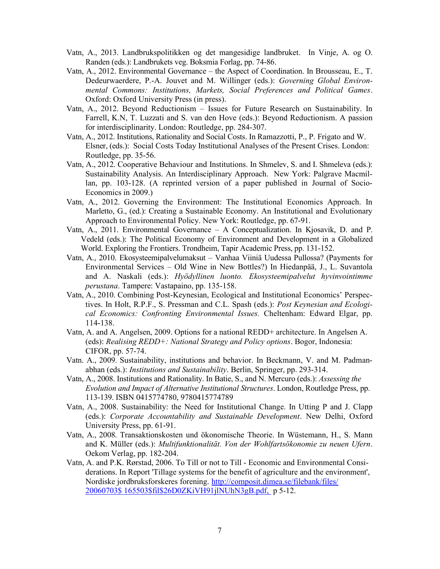- Vatn, A., 2013. Landbrukspolitikken og det mangesidige landbruket. In Vinje, A. og O. Randen (eds.): Landbrukets veg. Boksmia Forlag, pp. 74-86.
- Vatn, A., 2012. Environmental Governance the Aspect of Coordination. In Brousseau, E., T. Dedeurwaerdere, P.-A. Jouvet and M. Willinger (eds.): Governing Global Environmental Commons: Institutions, Markets, Social Preferences and Political Games. Oxford: Oxford University Press (in press).
- Vatn, A., 2012. Beyond Reductionism Issues for Future Research on Sustainability. In Farrell, K.N, T. Luzzati and S. van den Hove (eds.): Beyond Reductionism. A passion for interdisciplinarity. London: Routledge, pp. 284-307.
- Vatn, A., 2012. Institutions, Rationality and Social Costs. In Ramazzotti, P., P. Frigato and W. Elsner, (eds.): Social Costs Today Institutional Analyses of the Present Crises. London: Routledge, pp. 35-56.
- Vatn, A., 2012. Cooperative Behaviour and Institutions. In Shmelev, S. and I. Shmeleva (eds.): Sustainability Analysis. An Interdisciplinary Approach. New York: Palgrave Macmillan, pp. 103-128. (A reprinted version of a paper published in Journal of Socio-Economics in 2009.)
- Vatn, A., 2012. Governing the Environment: The Institutional Economics Approach. In Marletto, G., (ed.): Creating a Sustainable Economy. An Institutional and Evolutionary Approach to Environmental Policy. New York: Routledge, pp. 67-91.
- Vatn, A., 2011. Environmental Governance A Conceptualization. In Kjosavik, D. and P. Vedeld (eds.): The Political Economy of Environment and Development in a Globalized World. Exploring the Frontiers. Trondheim, Tapir Academic Press, pp. 131-152.
- Vatn, A., 2010. Ekosysteemipalvelumaksut Vanhaa Viiniä Uudessa Pullossa? (Payments for Environmental Services – Old Wine in New Bottles?) In Hiedanpää, J., L. Suvantola and A. Naskali (eds.): Hyödyllinen luonto. Ekosysteemipalvelut hyvinvointimme perustana. Tampere: Vastapaino, pp. 135-158.
- Vatn, A., 2010. Combining Post-Keynesian, Ecological and Institutional Economics' Perspectives. In Holt, R.P.F., S. Pressman and C.L. Spash (eds.): Post Keynesian and Ecological Economics: Confronting Environmental Issues. Cheltenham: Edward Elgar, pp. 114-138.
- Vatn, A. and A. Angelsen, 2009. Options for a national REDD+ architecture. In Angelsen A. (eds): Realising REDD+: National Strategy and Policy options. Bogor, Indonesia: CIFOR, pp. 57-74.
- Vatn. A., 2009. Sustainability, institutions and behavior. In Beckmann, V. and M. Padmanabhan (eds.): Institutions and Sustainability. Berlin, Springer, pp. 293-314.
- Vatn, A., 2008. Institutions and Rationality. In Batie, S., and N. Mercuro (eds.): Assessing the Evolution and Impact of Alternative Institutional Structures. London, Routledge Press, pp. 113-139. ISBN 0415774780, 9780415774789
- Vatn, A., 2008. Sustainability: the Need for Institutional Change. In Utting P and J. Clapp (eds.): Corporate Accountability and Sustainable Development. New Delhi, Oxford University Press, pp. 61-91.
- Vatn, A., 2008. Transaktionskosten und ökonomische Theorie. In Wüstemann, H., S. Mann and K. Müller (eds.): Multifunktionalität. Von der Wohlfartsökonomie zu neuen Ufern. Oekom Verlag, pp. 182-204.
- Vatn, A. and P.K. Rørstad, 2006. To Till or not to Till Economic and Environmental Considerations. In Report 'Tillage systems for the benefit of agriculture and the environment', Nordiske jordbruksforskeres forening. http://composit.dimea.se/filebank/files/ 20060703\$ 165503\$fil\$26D0ZKiVH91jlNUhN3gB.pdf, p 5-12.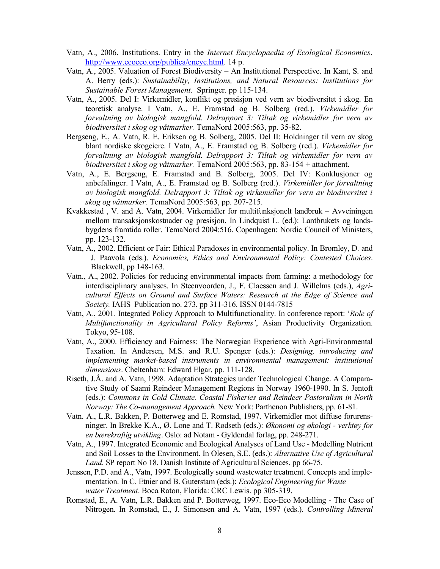- Vatn, A., 2006. Institutions. Entry in the Internet Encyclopaedia of Ecological Economics. http://www.ecoeco.org/publica/encyc.html. 14 p.
- Vatn, A., 2005. Valuation of Forest Biodiversity An Institutional Perspective. In Kant, S. and A. Berry (eds.): Sustainability, Institutions, and Natural Resources: Institutions for Sustainable Forest Management. Springer. pp 115-134.
- Vatn, A., 2005. Del I: Virkemidler, konflikt og presisjon ved vern av biodiversitet i skog. En teoretisk analyse. I Vatn, A., E. Framstad og B. Solberg (red.). Virkemidler for forvaltning av biologisk mangfold. Delrapport 3: Tiltak og virkemidler for vern av biodiversitet i skog og våtmarker. TemaNord 2005:563, pp. 35-82.
- Bergseng, E., A. Vatn, R. E. Eriksen og B. Solberg, 2005. Del II: Holdninger til vern av skog blant nordiske skogeiere. I Vatn, A., E. Framstad og B. Solberg (red.). Virkemidler for forvaltning av biologisk mangfold. Delrapport 3: Tiltak og virkemidler for vern av biodiversitet i skog og våtmarker. TemaNord 2005:563, pp. 83-154 + attachment.
- Vatn, A., E. Bergseng, E. Framstad and B. Solberg, 2005. Del IV: Konklusjoner og anbefalinger. I Vatn, A., E. Framstad og B. Solberg (red.). Virkemidler for forvaltning av biologisk mangfold. Delrapport 3: Tiltak og virkemidler for vern av biodiversitet i skog og våtmarker. TemaNord 2005:563, pp. 207-215.
- Kvakkestad , V. and A. Vatn, 2004. Virkemidler for multifunksjonelt landbruk Avveiningen mellom transaksjonskostnader og presisjon. In Lindquist L. (ed.): Lantbrukets og landsbygdens framtida roller. TemaNord 2004:516. Copenhagen: Nordic Council of Ministers, pp. 123-132.
- Vatn, A., 2002. Efficient or Fair: Ethical Paradoxes in environmental policy. In Bromley, D. and J. Paavola (eds.). Economics, Ethics and Environmental Policy: Contested Choices. Blackwell, pp 148-163.
- Vatn., A., 2002. Policies for reducing environmental impacts from farming: a methodology for interdisciplinary analyses. In Steenvoorden, J., F. Claessen and J. Willelms (eds.), Agricultural Effects on Ground and Surface Waters: Research at the Edge of Science and Society. IAHS Publication no. 273, pp 311-316. ISSN 0144-7815
- Vatn, A., 2001. Integrated Policy Approach to Multifunctionality. In conference report: 'Role of Multifunctionality in Agricultural Policy Reforms', Asian Productivity Organization. Tokyo, 95-108.
- Vatn, A., 2000. Efficiency and Fairness: The Norwegian Experience with Agri-Environmental Taxation. In Andersen, M.S. and R.U. Spenger (eds.): Designing, introducing and implementing market-based instruments in environmental management: institutional dimensions. Cheltenham: Edward Elgar, pp. 111-128.
- Riseth, J.Å. and A. Vatn, 1998. Adaptation Strategies under Technological Change. A Comparative Study of Saami Reindeer Management Regions in Norway 1960-1990. In S. Jentoft (eds.): Commons in Cold Climate. Coastal Fisheries and Reindeer Pastoralism in North Norway: The Co-management Approach. New York: Parthenon Publishers, pp. 61-81.
- Vatn. A., L.R. Bakken, P. Botterweg and E. Romstad, 1997. Virkemidler mot diffuse forurensninger. In Brekke K.A., Ø. Lone and T. Rødseth (eds.): Økonomi og økologi - verktøy for en bærekraftig utvikling. Oslo: ad Notam - Gyldendal forlag, pp. 248-271.
- Vatn, A., 1997. Integrated Economic and Ecological Analyses of Land Use Modelling Nutrient and Soil Losses to the Environment. In Olesen, S.E. (eds.): Alternative Use of Agricultural Land. SP report No 18. Danish Institute of Agricultural Sciences. pp 66-75.
- Jenssen, P.D. and A., Vatn, 1997. Ecologically sound wastewater treatment. Concepts and implementation. In C. Etnier and B. Guterstam (eds.): Ecological Engineering for Waste water Treatment. Boca Raton, Florida: CRC Lewis. pp 305-319.
- Romstad, E., A. Vatn, L.R. Bakken and P. Botterweg, 1997. Eco-Eco Modelling The Case of Nitrogen. In Romstad, E., J. Simonsen and A. Vatn, 1997 (eds.). Controlling Mineral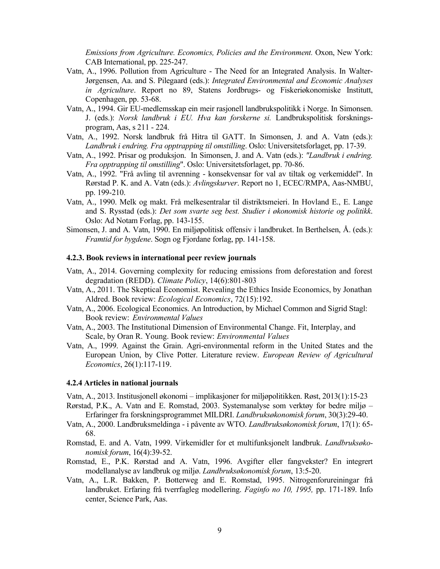Emissions from Agriculture. Economics, Policies and the Environment. Oxon, New York: CAB International, pp. 225-247.

- Vatn, A., 1996. Pollution from Agriculture The Need for an Integrated Analysis. In Walter-Jørgensen, Aa. and S. Pilegaard (eds.): Integrated Environmental and Economic Analyses in Agriculture. Report no 89, Statens Jordbrugs- og Fiskeriøkonomiske Institutt, Copenhagen, pp. 53-68.
- Vatn, A., 1994. Gir EU-medlemsskap ein meir rasjonell landbrukspolitikk i Norge. In Simonsen. J. (eds.): Norsk landbruk i EU. Hva kan forskerne si. Landbrukspolitisk forskningsprogram, Aas, s 211 - 224.
- Vatn, A., 1992. Norsk landbruk frå Hitra til GATT. In Simonsen, J. and A. Vatn (eds.): Landbruk i endring. Fra opptrapping til omstilling. Oslo: Universitetsforlaget, pp. 17-39.
- Vatn, A., 1992. Prisar og produksjon. In Simonsen, J. and A. Vatn (eds.): "Landbruk i endring. Fra opptrapping til omstilling". Oslo: Universitetsforlaget, pp. 70-86.
- Vatn, A., 1992. "Frå avling til avrenning konsekvensar for val av tiltak og verkemiddel". In Rørstad P. K. and A. Vatn (eds.): Avlingskurver. Report no 1, ECEC/RMPA, Aas-NMBU, pp. 199-210.
- Vatn, A., 1990. Melk og makt. Frå melkesentralar til distriktsmeieri. In Hovland E., E. Lange and S. Rysstad (eds.): Det som svarte seg best. Studier i økonomisk historie og politikk. Oslo: Ad Notam Forlag, pp. 143-155.
- Simonsen, J. and A. Vatn, 1990. En miljøpolitisk offensiv i landbruket. In Berthelsen, Å. (eds.): Framtid for bygdene. Sogn og Fjordane forlag, pp. 141-158.

#### 4.2.3. Book reviews in international peer review journals

- Vatn, A., 2014. Governing complexity for reducing emissions from deforestation and forest degradation (REDD). Climate Policy, 14(6):801-803
- Vatn, A., 2011. The Skeptical Economist. Revealing the Ethics Inside Economics, by Jonathan Aldred. Book review: Ecological Economics, 72(15):192.
- Vatn, A., 2006. Ecological Economics. An Introduction, by Michael Common and Sigrid Stagl: Book review: Environmental Values
- Vatn, A., 2003. The Institutional Dimension of Environmental Change. Fit, Interplay, and Scale, by Oran R. Young. Book review: Environmental Values
- Vatn, A., 1999. Against the Grain. Agri-environmental reform in the United States and the European Union, by Clive Potter. Literature review. European Review of Agricultural Economics, 26(1):117-119.

#### 4.2.4 Articles in national journals

Vatn, A., 2013. Institusjonell økonomi – implikasjoner for miljøpolitikken. Røst, 2013(1):15-23

- Rørstad, P.K., A. Vatn and E. Romstad, 2003. Systemanalyse som verktøy for bedre miljø Erfaringer fra forskningsprogrammet MILDRI. Landbruksøkonomisk forum, 30(3):29-40.
- Vatn, A., 2000. Landbruksmeldinga i påvente av WTO. Landbruksøkonomisk forum, 17(1): 65- 68.
- Romstad, E. and A. Vatn, 1999. Virkemidler for et multifunksjonelt landbruk. Landbruksøkonomisk forum, 16(4):39-52.
- Romstad, E., P.K. Rørstad and A. Vatn, 1996. Avgifter eller fangvekster? En integrert modellanalyse av landbruk og miljø. Landbruksøkonomisk forum, 13:5-20.
- Vatn, A., L.R. Bakken, P. Botterweg and E. Romstad, 1995. Nitrogenforureiningar frå landbruket. Erfaring frå tverrfagleg modellering. Faginfo no 10, 1995, pp. 171-189. Info center, Science Park, Aas.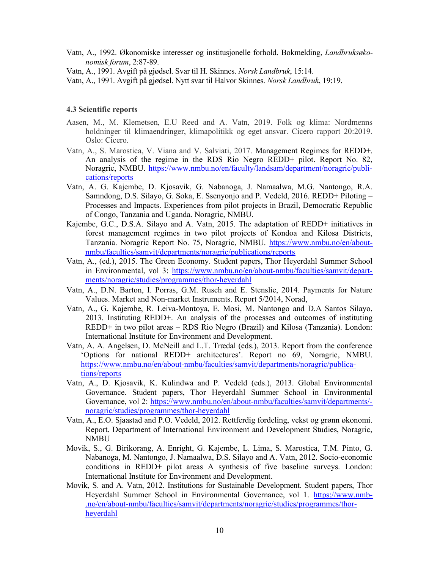- Vatn, A., 1992. Økonomiske interesser og institusjonelle forhold. Bokmelding, Landbruksøkonomisk forum, 2:87-89.
- Vatn, A., 1991. Avgift på gjødsel. Svar til H. Skinnes. Norsk Landbruk, 15:14.
- Vatn, A., 1991. Avgift på gjødsel. Nytt svar til Halvor Skinnes. Norsk Landbruk, 19:19.

#### 4.3 Scientific reports

- Aasen, M., M. Klemetsen, E.U Reed and A. Vatn, 2019. Folk og klima: Nordmenns holdninger til klimaendringer, klimapolitikk og eget ansvar. Cicero rapport 20:2019. Oslo: Cicero.
- Vatn, A., S. Marostica, V. Viana and V. Salviati, 2017. Management Regimes for REDD+. An analysis of the regime in the RDS Rio Negro REDD+ pilot. Report No. 82, Noragric, NMBU. https://www.nmbu.no/en/faculty/landsam/department/noragric/publications/reports
- Vatn, A. G. Kajembe, D. Kjosavik, G. Nabanoga, J. Namaalwa, M.G. Nantongo, R.A. Samndong, D.S. Silayo, G. Soka, E. Ssenyonjo and P. Vedeld, 2016. REDD+ Piloting – Processes and Impacts. Experiences from pilot projects in Brazil, Democratic Republic of Congo, Tanzania and Uganda. Noragric, NMBU.
- Kajembe, G.C., D.S.A. Silayo and A. Vatn, 2015. The adaptation of REDD+ initiatives in forest management regimes in two pilot projects of Kondoa and Kilosa Districts, Tanzania. Noragric Report No. 75, Noragric, NMBU. https://www.nmbu.no/en/aboutnmbu/faculties/samvit/departments/noragric/publications/reports
- Vatn, A., (ed.), 2015. The Green Economy. Student papers, Thor Heyerdahl Summer School in Environmental, vol 3: https://www.nmbu.no/en/about-nmbu/faculties/samvit/departments/noragric/studies/programmes/thor-heyerdahl
- Vatn, A., D.N. Barton, I. Porras, G.M. Rusch and E. Stenslie, 2014. Payments for Nature Values. Market and Non-market Instruments. Report 5/2014, Norad,
- Vatn, A., G. Kajembe, R. Leiva-Montoya, E. Mosi, M. Nantongo and D.A Santos Silayo, 2013. Instituting REDD+. An analysis of the processes and outcomes of instituting REDD+ in two pilot areas – RDS Rio Negro (Brazil) and Kilosa (Tanzania). London: International Institute for Environment and Development.
- Vatn, A. A. Angelsen, D. McNeill and L.T. Trædal (eds.), 2013. Report from the conference 'Options for national REDD+ architectures'. Report no 69, Noragric, NMBU. https://www.nmbu.no/en/about-nmbu/faculties/samvit/departments/noragric/publications/reports
- Vatn, A., D. Kjosavik, K. Kulindwa and P. Vedeld (eds.), 2013. Global Environmental Governance. Student papers, Thor Heyerdahl Summer School in Environmental Governance, vol 2: https://www.nmbu.no/en/about-nmbu/faculties/samvit/departments/ noragric/studies/programmes/thor-heyerdahl
- Vatn, A., E.O. Sjaastad and P.O. Vedeld, 2012. Rettferdig fordeling, vekst og grønn økonomi. Report. Department of International Environment and Development Studies, Noragric, NMBU
- Movik, S., G. Birikorang, A. Enright, G. Kajembe, L. Lima, S. Marostica, T.M. Pinto, G. Nabanoga, M. Nantongo, J. Namaalwa, D.S. Silayo and A. Vatn, 2012. Socio-economic conditions in REDD+ pilot areas A synthesis of five baseline surveys. London: International Institute for Environment and Development.
- Movik, S. and A. Vatn, 2012. Institutions for Sustainable Development. Student papers, Thor Heverdahl Summer School in Environmental Governance, vol 1. https://www.nmb-.no/en/about-nmbu/faculties/samvit/departments/noragric/studies/programmes/thorheyerdahl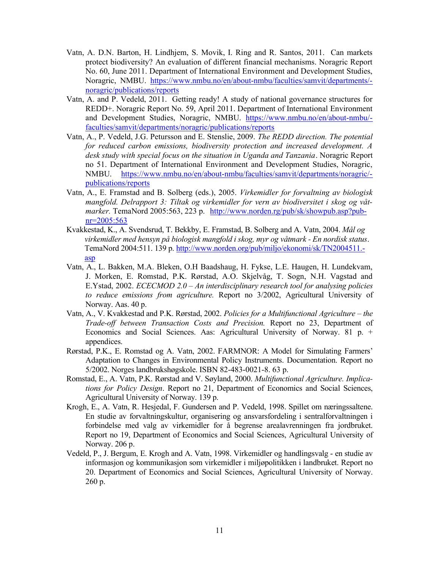- Vatn, A. D.N. Barton, H. Lindhjem, S. Movik, I. Ring and R. Santos, 2011. Can markets protect biodiversity? An evaluation of different financial mechanisms. Noragric Report No. 60, June 2011. Department of International Environment and Development Studies, Noragric, NMBU. https://www.nmbu.no/en/about-nmbu/faculties/samvit/departments/ noragric/publications/reports
- Vatn, A. and P. Vedeld, 2011. Getting ready! A study of national governance structures for REDD+. Noragric Report No. 59, April 2011. Department of International Environment and Development Studies, Noragric, NMBU. https://www.nmbu.no/en/about-nmbu/faculties/samvit/departments/noragric/publications/reports
- Vatn, A., P. Vedeld, J.G. Petursson and E. Stenslie, 2009. The REDD direction. The potential for reduced carbon emissions, biodiversity protection and increased development. A desk study with special focus on the situation in Uganda and Tanzania. Noragric Report no 51. Department of International Environment and Development Studies, Noragric, NMBU. https://www.nmbu.no/en/about-nmbu/faculties/samvit/departments/noragric/ publications/reports
- Vatn, A., E. Framstad and B. Solberg (eds.), 2005. Virkemidler for forvaltning av biologisk mangfold. Delrapport 3: Tiltak og virkemidler for vern av biodiversitet i skog og våtmarker. TemaNord 2005:563, 223 p. http://www.norden.rg/pub/sk/showpub.asp?pubnr=2005:563
- Kvakkestad, K., A. Svendsrud, T. Bekkby, E. Framstad, B. Solberg and A. Vatn, 2004. Mål og virkemidler med hensyn på biologisk mangfold i skog, myr og våtmark - En nordisk status. TemaNord 2004:511. 139 p. http://www.norden.org/pub/miljo/ekonomi/sk/TN2004511.asp
- Vatn, A., L. Bakken, M.A. Bleken, O.H Baadshaug, H. Fykse, L.E. Haugen, H. Lundekvam, J. Morken, E. Romstad, P.K. Rørstad, A.O. Skjelvåg, T. Sogn, N.H. Vagstad and E.Ystad, 2002. *ECECMOD* 2.0 – An interdisciplinary research tool for analysing policies to reduce emissions from agriculture. Report no 3/2002, Agricultural University of Norway. Aas. 40 p.
- Vatn, A., V. Kvakkestad and P.K. Rørstad, 2002. Policies for a Multifunctional Agriculture the Trade-off between Transaction Costs and Precision. Report no 23, Department of Economics and Social Sciences. Aas: Agricultural University of Norway. 81 p. + appendices.
- Rørstad, P.K., E. Romstad og A. Vatn, 2002. FARMNOR: A Model for Simulating Farmers' Adaptation to Changes in Environmental Policy Instruments. Documentation. Report no 5/2002. Norges landbrukshøgskole. ISBN 82-483-0021-8. 63 p.
- Romstad, E., A. Vatn, P.K. Rørstad and V. Søyland, 2000. Multifunctional Agriculture. Implications for Policy Design. Report no 21, Department of Economics and Social Sciences, Agricultural University of Norway. 139 p.
- Krogh, E., A. Vatn, R. Hesjedal, F. Gundersen and P. Vedeld, 1998. Spillet om næringssaltene. En studie av forvaltningskultur, organisering og ansvarsfordeling i sentralforvaltningen i forbindelse med valg av virkemidler for å begrense arealavrenningen fra jordbruket. Report no 19, Department of Economics and Social Sciences, Agricultural University of Norway. 206 p.
- Vedeld, P., J. Bergum, E. Krogh and A. Vatn, 1998. Virkemidler og handlingsvalg en studie av informasjon og kommunikasjon som virkemidler i miljøpolitikken i landbruket. Report no 20. Department of Economics and Social Sciences, Agricultural University of Norway. 260 p.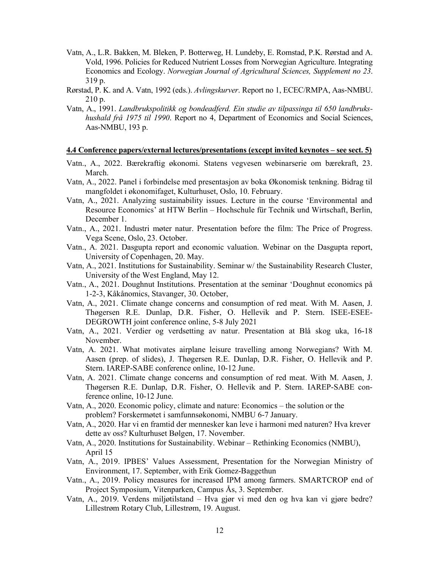- Vatn, A., L.R. Bakken, M. Bleken, P. Botterweg, H. Lundeby, E. Romstad, P.K. Rørstad and A. Vold, 1996. Policies for Reduced Nutrient Losses from Norwegian Agriculture. Integrating Economics and Ecology. Norwegian Journal of Agricultural Sciences, Supplement no 23. 319 p.
- Rørstad, P. K. and A. Vatn, 1992 (eds.). Avlingskurver. Report no 1, ECEC/RMPA, Aas-NMBU. 210 p.
- Vatn, A., 1991. Landbrukspolitikk og bondeadferd. Ein studie av tilpassinga til 650 landbrukshushald frå 1975 til 1990. Report no 4, Department of Economics and Social Sciences, Aas-NMBU, 193 p.

#### 4.4 Conference papers/external lectures/presentations (except invited keynotes – see sect. 5)

- Vatn., A., 2022. Bærekraftig økonomi. Statens vegvesen webinarserie om bærekraft, 23. March.
- Vatn, A., 2022. Panel i forbindelse med presentasjon av boka Økonomisk tenkning. Bidrag til mangfoldet i økonomifaget, Kulturhuset, Oslo, 10. February.
- Vatn, A., 2021. Analyzing sustainability issues. Lecture in the course 'Environmental and Resource Economics' at HTW Berlin – Hochschule für Technik und Wirtschaft, Berlin, December 1.
- Vatn., A., 2021. Industri møter natur. Presentation before the film: The Price of Progress. Vega Scene, Oslo, 23. October.
- Vatn., A. 2021. Dasgupta report and economic valuation. Webinar on the Dasgupta report, University of Copenhagen, 20. May.
- Vatn, A., 2021. Institutions for Sustainability. Seminar w/ the Sustainability Research Cluster, University of the West England, May 12.
- Vatn., A., 2021. Doughnut Institutions. Presentation at the seminar 'Doughnut economics på 1-2-3, Kåkånomics, Stavanger, 30. October,
- Vatn, A., 2021. Climate change concerns and consumption of red meat. With M. Aasen, J. Thøgersen R.E. Dunlap, D.R. Fisher, O. Hellevik and P. Stern. ISEE-ESEE-DEGROWTH joint conference online, 5-8 July 2021
- Vatn, A., 2021. Verdier og verdsetting av natur. Presentation at Blå skog uka, 16-18 November.
- Vatn, A. 2021. What motivates airplane leisure travelling among Norwegians? With M. Aasen (prep. of slides), J. Thøgersen R.E. Dunlap, D.R. Fisher, O. Hellevik and P. Stern. IAREP-SABE conference online, 10-12 June.
- Vatn, A. 2021. Climate change concerns and consumption of red meat. With M. Aasen, J. Thøgersen R.E. Dunlap, D.R. Fisher, O. Hellevik and P. Stern. IAREP-SABE conference online, 10-12 June.
- Vatn, A., 2020. Economic policy, climate and nature: Economics the solution or the problem? Forskermøtet i samfunnsøkonomi, NMBU 6-7 January.
- Vatn, A., 2020. Har vi en framtid der mennesker kan leve i harmoni med naturen? Hva krever dette av oss? Kulturhuset Bølgen, 17. November.
- Vatn, A., 2020. Institutions for Sustainability. Webinar Rethinking Economics (NMBU), April 15
- Vatn, A., 2019. IPBES' Values Assessment, Presentation for the Norwegian Ministry of Environment, 17. September, with Erik Gomez-Baggethun
- Vatn., A., 2019. Policy measures for increased IPM among farmers. SMARTCROP end of Project Symposium, Vitenparken, Campus Ås, 3. September.
- Vatn, A., 2019. Verdens miljøtilstand Hva gjør vi med den og hva kan vi gjøre bedre? Lillestrøm Rotary Club, Lillestrøm, 19. August.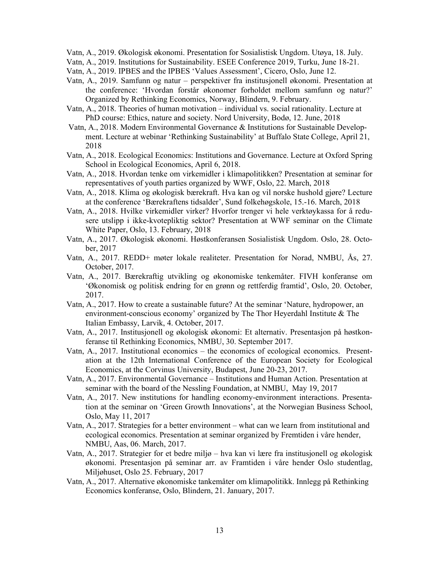- Vatn, A., 2019. Økologisk økonomi. Presentation for Sosialistisk Ungdom. Utøya, 18. July.
- Vatn, A., 2019. Institutions for Sustainability. ESEE Conference 2019, Turku, June 18-21.
- Vatn, A., 2019. IPBES and the IPBES 'Values Assessment', Cicero, Oslo, June 12.
- Vatn, A., 2019. Samfunn og natur perspektiver fra institusjonell økonomi. Presentation at the conference: 'Hvordan forstår økonomer forholdet mellom samfunn og natur?' Organized by Rethinking Economics, Norway, Blindern, 9. February.
- Vatn, A., 2018. Theories of human motivation individual vs. social rationality. Lecture at PhD course: Ethics, nature and society. Nord University, Bodø, 12. June, 2018
- Vatn, A., 2018. Modern Environmental Governance & Institutions for Sustainable Development. Lecture at webinar 'Rethinking Sustainability' at Buffalo State College, April 21, 2018
- Vatn, A., 2018. Ecological Economics: Institutions and Governance. Lecture at Oxford Spring School in Ecological Economics, April 6, 2018.
- Vatn, A., 2018. Hvordan tenke om virkemidler i klimapolitikken? Presentation at seminar for representatives of youth parties organized by WWF, Oslo, 22. March, 2018
- Vatn, A., 2018. Klima og økologisk bærekraft. Hva kan og vil norske hushold gjøre? Lecture at the conference 'Bærekraftens tidsalder', Sund folkehøgskole, 15.-16. March, 2018
- Vatn, A., 2018. Hvilke virkemidler virker? Hvorfor trenger vi hele verktøykassa for å redusere utslipp i ikke-kvotepliktig sektor? Presentation at WWF seminar on the Climate White Paper, Oslo, 13. February, 2018
- Vatn, A., 2017. Økologisk økonomi. Høstkonferansen Sosialistisk Ungdom. Oslo, 28. October, 2017
- Vatn, A., 2017. REDD+ møter lokale realiteter. Presentation for Norad, NMBU, Ås, 27. October, 2017.
- Vatn, A., 2017. Bærekraftig utvikling og økonomiske tenkemåter. FIVH konferanse om 'Økonomisk og politisk endring for en grønn og rettferdig framtid', Oslo, 20. October, 2017.
- Vatn, A., 2017. How to create a sustainable future? At the seminar 'Nature, hydropower, an environment-conscious economy' organized by The Thor Heyerdahl Institute & The Italian Embassy, Larvik, 4. October, 2017.
- Vatn, A., 2017. Institusjonell og økologisk økonomi: Et alternativ. Presentasjon på høstkonferanse til Rethinking Economics, NMBU, 30. September 2017.
- Vatn, A., 2017. Institutional economics the economics of ecological economics. Presentation at the 12th International Conference of the European Society for Ecological Economics, at the Corvinus University, Budapest, June 20-23, 2017.
- Vatn, A., 2017. Environmental Governance Institutions and Human Action. Presentation at seminar with the board of the Nessling Foundation, at NMBU, May 19, 2017
- Vatn, A., 2017. New institutions for handling economy-environment interactions. Presentation at the seminar on 'Green Growth Innovations', at the Norwegian Business School, Oslo, May 11, 2017
- Vatn, A., 2017. Strategies for a better environment what can we learn from institutional and ecological economics. Presentation at seminar organized by Fremtiden i våre hender, NMBU, Aas, 06. March, 2017.
- Vatn, A., 2017. Strategier for et bedre miljø hva kan vi lære fra institusjonell og økologisk økonomi. Presentasjon på seminar arr. av Framtiden i våre hender Oslo studentlag, Miljøhuset, Oslo 25. February, 2017
- Vatn, A., 2017. Alternative økonomiske tankemåter om klimapolitikk. Innlegg på Rethinking Economics konferanse, Oslo, Blindern, 21. January, 2017.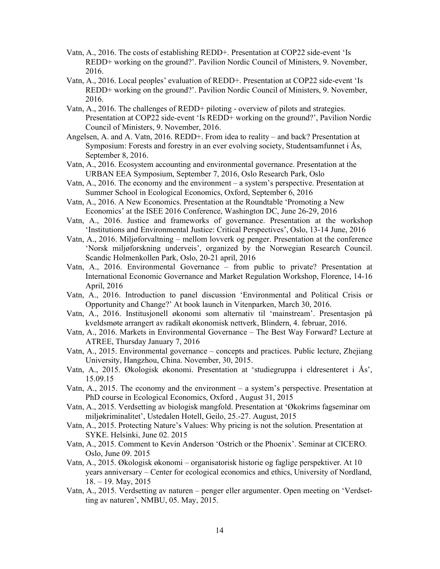- Vatn, A., 2016. The costs of establishing REDD+. Presentation at COP22 side-event 'Is REDD+ working on the ground?'. Pavilion Nordic Council of Ministers, 9. November, 2016.
- Vatn, A., 2016. Local peoples' evaluation of REDD+. Presentation at COP22 side-event 'Is REDD+ working on the ground?'. Pavilion Nordic Council of Ministers, 9. November, 2016.
- Vatn, A., 2016. The challenges of REDD+ piloting overview of pilots and strategies. Presentation at COP22 side-event 'Is REDD+ working on the ground?', Pavilion Nordic Council of Ministers, 9. November, 2016.
- Angelsen, A. and A. Vatn, 2016. REDD+. From idea to reality and back? Presentation at Symposium: Forests and forestry in an ever evolving society, Studentsamfunnet i Ås, September 8, 2016.
- Vatn, A., 2016. Ecosystem accounting and environmental governance. Presentation at the URBAN EEA Symposium, September 7, 2016, Oslo Research Park, Oslo
- Vatn, A., 2016. The economy and the environment a system's perspective. Presentation at Summer School in Ecological Economics, Oxford, September 6, 2016
- Vatn, A., 2016. A New Economics. Presentation at the Roundtable 'Promoting a New Economics' at the ISEE 2016 Conference, Washington DC, June 26-29, 2016
- Vatn, A., 2016. Justice and frameworks of governance. Presentation at the workshop 'Institutions and Environmental Justice: Critical Perspectives', Oslo, 13-14 June, 2016
- Vatn, A., 2016. Miljøforvaltning mellom lovverk og penger. Presentation at the conference 'Norsk miljøforskning underveis', organized by the Norwegian Research Council. Scandic Holmenkollen Park, Oslo, 20-21 april, 2016
- Vatn, A., 2016. Environmental Governance from public to private? Presentation at International Economic Governance and Market Regulation Workshop, Florence, 14-16 April, 2016
- Vatn, A., 2016. Introduction to panel discussion 'Environmental and Political Crisis or Opportunity and Change?' At book launch in Vitenparken, March 30, 2016.
- Vatn, A., 2016. Institusjonell økonomi som alternativ til 'mainstream'. Presentasjon på kveldsmøte arrangert av radikalt økonomisk nettverk, Blindern, 4. februar, 2016.
- Vatn, A., 2016. Markets in Environmental Governance The Best Way Forward? Lecture at ATREE, Thursday January 7, 2016
- Vatn, A., 2015. Environmental governance concepts and practices. Public lecture, Zhejiang University, Hangzhou, China. November, 30, 2015.
- Vatn, A., 2015. Økologisk økonomi. Presentation at 'studiegruppa i eldresenteret i Ås', 15.09.15
- Vatn, A., 2015. The economy and the environment a system's perspective. Presentation at PhD course in Ecological Economics, Oxford , August 31, 2015
- Vatn, A., 2015. Verdsetting av biologisk mangfold. Presentation at 'Økokrims fagseminar om miljøkriminalitet', Ustedalen Hotell, Geilo, 25.-27. August, 2015
- Vatn, A., 2015. Protecting Nature's Values: Why pricing is not the solution. Presentation at SYKE. Helsinki, June 02. 2015
- Vatn, A., 2015. Comment to Kevin Anderson 'Ostrich or the Phoenix'. Seminar at CICERO. Oslo, June 09. 2015
- Vatn, A., 2015. Økologisk økonomi organisatorisk historie og faglige perspektiver. At 10 years anniversary – Center for ecological economics and ethics, University of Nordland, 18. – 19. May, 2015
- Vatn, A., 2015. Verdsetting av naturen penger eller argumenter. Open meeting on 'Verdsetting av naturen', NMBU, 05. May, 2015.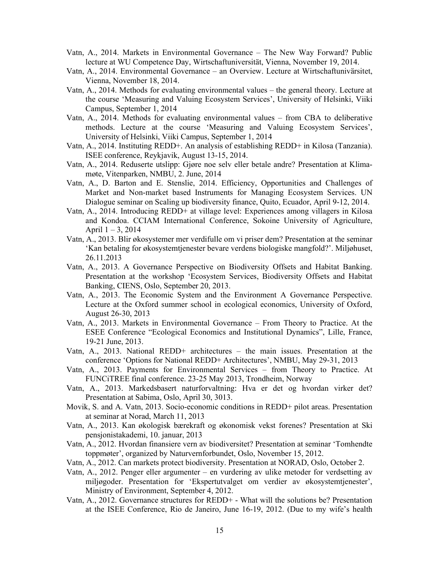- Vatn, A., 2014. Markets in Environmental Governance The New Way Forward? Public lecture at WU Competence Day, Wirtschaftuniversität, Vienna, November 19, 2014.
- Vatn, A., 2014. Environmental Governance an Overview. Lecture at Wirtschaftunivärsitet, Vienna, November 18, 2014.
- Vatn, A., 2014. Methods for evaluating environmental values the general theory. Lecture at the course 'Measuring and Valuing Ecosystem Services', University of Helsinki, Viiki Campus, September 1, 2014
- Vatn, A., 2014. Methods for evaluating environmental values from CBA to deliberative methods. Lecture at the course 'Measuring and Valuing Ecosystem Services', University of Helsinki, Viiki Campus, September 1, 2014
- Vatn, A., 2014. Instituting REDD+. An analysis of establishing REDD+ in Kilosa (Tanzania). ISEE conference, Reykjavik, August 13-15, 2014.
- Vatn, A., 2014. Reduserte utslipp: Gjøre noe selv eller betale andre? Presentation at Klimamøte, Vitenparken, NMBU, 2. June, 2014
- Vatn, A., D. Barton and E. Stenslie, 2014. Efficiency, Opportunities and Challenges of Market and Non-market based Instruments for Managing Ecosystem Services. UN Dialogue seminar on Scaling up biodiversity finance, Quito, Ecuador, April 9-12, 2014.
- Vatn, A., 2014. Introducing REDD+ at village level: Experiences among villagers in Kilosa and Kondoa. CCIAM International Conference, Sokoine University of Agriculture, April  $1 - 3$ , 2014
- Vatn, A., 2013. Blir økosystemer mer verdifulle om vi priser dem? Presentation at the seminar 'Kan betaling for økosystemtjenester bevare verdens biologiske mangfold?'. Miljøhuset, 26.11.2013
- Vatn, A., 2013. A Governance Perspective on Biodiversity Offsets and Habitat Banking. Presentation at the workshop 'Ecosystem Services, Biodiversity Offsets and Habitat Banking, CIENS, Oslo, September 20, 2013.
- Vatn, A., 2013. The Economic System and the Environment A Governance Perspective. Lecture at the Oxford summer school in ecological economics, University of Oxford, August 26-30, 2013
- Vatn, A., 2013. Markets in Environmental Governance From Theory to Practice. At the ESEE Conference "Ecological Economics and Institutional Dynamics", Lille, France, 19-21 June, 2013.
- Vatn, A., 2013. National REDD+ architectures the main issues. Presentation at the conference 'Options for National REDD+ Architectures', NMBU, May 29-31, 2013
- Vatn, A., 2013. Payments for Environmental Services from Theory to Practice. At FUNCiTREE final conference. 23-25 May 2013, Trondheim, Norway
- Vatn, A., 2013. Markedsbasert naturforvaltning: Hva er det og hvordan virker det? Presentation at Sabima, Oslo, April 30, 3013.
- Movik, S. and A. Vatn, 2013. Socio-economic conditions in REDD+ pilot areas. Presentation at seminar at Norad, March 11, 2013
- Vatn, A., 2013. Kan økologisk bærekraft og økonomisk vekst forenes? Presentation at Ski pensjonistakademi, 10. januar, 2013
- Vatn, A., 2012. Hvordan finansiere vern av biodiversitet? Presentation at seminar 'Tomhendte toppmøter', organized by Naturvernforbundet, Oslo, November 15, 2012.
- Vatn, A., 2012. Can markets protect biodiversity. Presentation at NORAD, Oslo, October 2.
- Vatn, A., 2012. Penger eller argumenter en vurdering av ulike metoder for verdsetting av miljøgoder. Presentation for 'Ekspertutvalget om verdier av økosystemtjenester', Ministry of Environment, September 4, 2012.
- Vatn, A., 2012. Governance structures for REDD+ What will the solutions be? Presentation at the ISEE Conference, Rio de Janeiro, June 16-19, 2012. (Due to my wife's health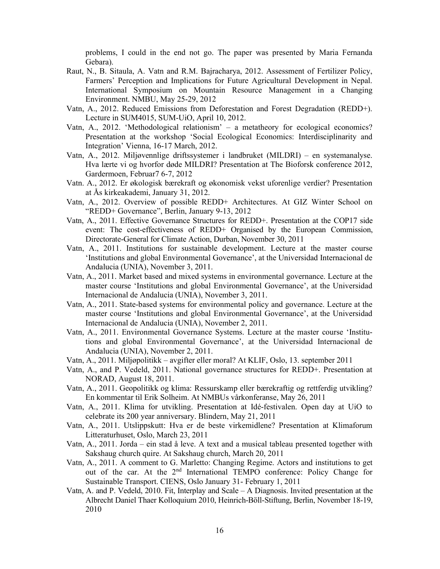problems, I could in the end not go. The paper was presented by Maria Fernanda Gebara).

- Raut, N., B. Sitaula, A. Vatn and R.M. Bajracharya, 2012. Assessment of Fertilizer Policy, Farmers' Perception and Implications for Future Agricultural Development in Nepal. International Symposium on Mountain Resource Management in a Changing Environment. NMBU, May 25-29, 2012
- Vatn, A., 2012. Reduced Emissions from Deforestation and Forest Degradation (REDD+). Lecture in SUM4015, SUM-UiO, April 10, 2012.
- Vatn, A., 2012. 'Methodological relationism' a metatheory for ecological economics? Presentation at the workshop 'Social Ecological Economics: Interdisciplinarity and Integration' Vienna, 16-17 March, 2012.
- Vatn, A., 2012. Miljøvennlige driftssystemer i landbruket (MILDRI) en systemanalyse. Hva lærte vi og hvorfor døde MILDRI? Presentation at The Bioforsk conference 2012, Gardermoen, Februar7 6-7, 2012
- Vatn. A., 2012. Er økologisk bærekraft og økonomisk vekst uforenlige verdier? Presentation at Ås kirkeakademi, January 31, 2012.
- Vatn, A., 2012. Overview of possible REDD+ Architectures. At GIZ Winter School on "REDD+ Governance", Berlin, January 9-13, 2012
- Vatn, A., 2011. Effective Governance Structures for REDD+. Presentation at the COP17 side event: The cost-effectiveness of REDD+ Organised by the European Commission, Directorate-General for Climate Action, Durban, November 30, 2011
- Vatn, A., 2011. Institutions for sustainable development. Lecture at the master course 'Institutions and global Environmental Governance', at the Universidad Internacional de Andalucia (UNIA), November 3, 2011.
- Vatn, A., 2011. Market based and mixed systems in environmental governance. Lecture at the master course 'Institutions and global Environmental Governance', at the Universidad Internacional de Andalucia (UNIA), November 3, 2011.
- Vatn, A., 2011. State-based systems for environmental policy and governance. Lecture at the master course 'Institutions and global Environmental Governance', at the Universidad Internacional de Andalucia (UNIA), November 2, 2011.
- Vatn, A., 2011. Environmental Governance Systems. Lecture at the master course 'Institutions and global Environmental Governance', at the Universidad Internacional de Andalucia (UNIA), November 2, 2011.
- Vatn, A., 2011. Miljøpolitikk avgifter eller moral? At KLIF, Oslo, 13. september 2011
- Vatn, A., and P. Vedeld, 2011. National governance structures for REDD+. Presentation at NORAD, August 18, 2011.
- Vatn, A., 2011. Geopolitikk og klima: Ressurskamp eller bærekraftig og rettferdig utvikling? En kommentar til Erik Solheim. At NMBUs vårkonferanse, May 26, 2011
- Vatn, A., 2011. Klima for utvikling. Presentation at Idé-festivalen. Open day at UiO to celebrate its 200 year anniversary. Blindern, May 21, 2011
- Vatn, A., 2011. Utslippskutt: Hva er de beste virkemidlene? Presentation at Klimaforum Litteraturhuset, Oslo, March 23, 2011
- Vatn, A., 2011. Jorda ein stad å leve. A text and a musical tableau presented together with Sakshaug church quire. At Sakshaug church, March 20, 2011
- Vatn, A., 2011. A comment to G. Marletto: Changing Regime. Actors and institutions to get out of the car. At the 2<sup>nd</sup> International TEMPO conference: Policy Change for Sustainable Transport. CIENS, Oslo January 31- February 1, 2011
- Vatn, A. and P. Vedeld, 2010. Fit, Interplay and Scale A Diagnosis. Invited presentation at the Albrecht Daniel Thaer Kolloquium 2010, Heinrich-Böll-Stiftung, Berlin, November 18-19, 2010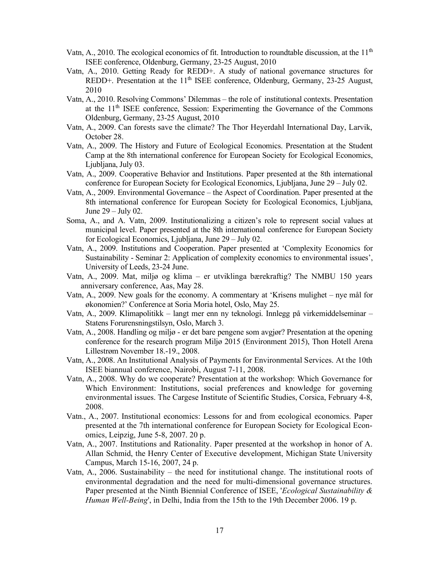- Vatn, A., 2010. The ecological economics of fit. Introduction to roundtable discussion, at the  $11<sup>th</sup>$ ISEE conference, Oldenburg, Germany, 23-25 August, 2010
- Vatn, A., 2010. Getting Ready for REDD+. A study of national governance structures for REDD+. Presentation at the 11<sup>th</sup> ISEE conference, Oldenburg, Germany, 23-25 August, 2010
- Vatn, A., 2010. Resolving Commons' Dilemmas the role of institutional contexts. Presentation at the 11th ISEE conference, Session: Experimenting the Governance of the Commons Oldenburg, Germany, 23-25 August, 2010
- Vatn, A., 2009. Can forests save the climate? The Thor Heyerdahl International Day, Larvik, October 28.
- Vatn, A., 2009. The History and Future of Ecological Economics. Presentation at the Student Camp at the 8th international conference for European Society for Ecological Economics, Ljubljana, July 03.
- Vatn, A., 2009. Cooperative Behavior and Institutions. Paper presented at the 8th international conference for European Society for Ecological Economics, Ljubljana, June 29 – July 02.
- Vatn, A., 2009. Environmental Governance the Aspect of Coordination. Paper presented at the 8th international conference for European Society for Ecological Economics, Ljubljana, June 29 – July 02.
- Soma, A., and A. Vatn, 2009. Institutionalizing a citizen's role to represent social values at municipal level. Paper presented at the 8th international conference for European Society for Ecological Economics, Ljubljana, June 29 – July 02.
- Vatn, A., 2009. Institutions and Cooperation. Paper presented at 'Complexity Economics for Sustainability - Seminar 2: Application of complexity economics to environmental issues', University of Leeds, 23-24 June.
- Vatn, A., 2009. Mat, miljø og klima er utviklinga bærekraftig? The NMBU 150 years anniversary conference, Aas, May 28.
- Vatn, A., 2009. New goals for the economy. A commentary at 'Krisens mulighet nye mål for økonomien?' Conference at Soria Moria hotel, Oslo, May 25.
- Vatn, A., 2009. Klimapolitikk langt mer enn ny teknologi. Innlegg på virkemiddelseminar Statens Forurensningstilsyn, Oslo, March 3.
- Vatn, A., 2008. Handling og miljø er det bare pengene som avgjør? Presentation at the opening conference for the research program Miljø 2015 (Environment 2015), Thon Hotell Arena Lillestrøm November 18.-19., 2008.
- Vatn, A., 2008. An Institutional Analysis of Payments for Environmental Services. At the 10th ISEE biannual conference, Nairobi, August 7-11, 2008.
- Vatn, A., 2008. Why do we cooperate? Presentation at the workshop: Which Governance for Which Environment: Institutions, social preferences and knowledge for governing environmental issues. The Cargese Institute of Scientific Studies, Corsica, February 4-8, 2008.
- Vatn., A., 2007. Institutional economics: Lessons for and from ecological economics. Paper presented at the 7th international conference for European Society for Ecological Economics, Leipzig, June 5-8, 2007. 20 p.
- Vatn, A., 2007. Institutions and Rationality. Paper presented at the workshop in honor of A. Allan Schmid, the Henry Center of Executive development, Michigan State University Campus, March 15-16, 2007, 24 p.
- Vatn, A., 2006. Sustainability the need for institutional change. The institutional roots of environmental degradation and the need for multi-dimensional governance structures. Paper presented at the Ninth Biennial Conference of ISEE, *'Ecological Sustainability*  $\&$ Human Well-Being', in Delhi, India from the 15th to the 19th December 2006. 19 p.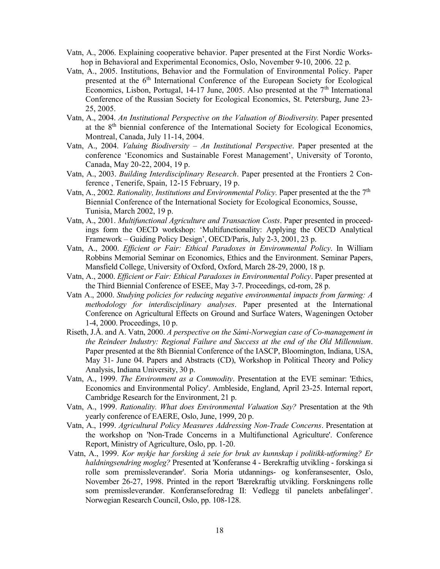- Vatn, A., 2006. Explaining cooperative behavior. Paper presented at the First Nordic Workshop in Behavioral and Experimental Economics, Oslo, November 9-10, 2006. 22 p.
- Vatn, A., 2005. Institutions, Behavior and the Formulation of Environmental Policy. Paper presented at the 6<sup>th</sup> International Conference of the European Society for Ecological Economics, Lisbon, Portugal,  $14-17$  June, 2005. Also presented at the  $7<sup>th</sup>$  International Conference of the Russian Society for Ecological Economics, St. Petersburg, June 23- 25, 2005.
- Vatn, A., 2004. An Institutional Perspective on the Valuation of Biodiversity. Paper presented at the 8th biennial conference of the International Society for Ecological Economics, Montreal, Canada, July 11-14, 2004.
- Vatn, A., 2004. *Valuing Biodiversity An Institutional Perspective*. Paper presented at the conference 'Economics and Sustainable Forest Management', University of Toronto, Canada, May 20-22, 2004, 19 p.
- Vatn, A., 2003. Building Interdisciplinary Research. Paper presented at the Frontiers 2 Conference , Tenerife, Spain, 12-15 February, 19 p.
- Vatn, A., 2002. Rationality, Institutions and Environmental Policy. Paper presented at the the  $7<sup>th</sup>$ Biennial Conference of the International Society for Ecological Economics, Sousse, Tunisia, March 2002, 19 p.
- Vatn, A., 2001. Multifunctional Agriculture and Transaction Costs. Paper presented in proceedings form the OECD workshop: 'Multifunctionality: Applying the OECD Analytical Framework – Guiding Policy Design', OECD/Paris, July 2-3, 2001, 23 p.
- Vatn, A., 2000. Efficient or Fair: Ethical Paradoxes in Environmental Policy. In William Robbins Memorial Seminar on Economics, Ethics and the Environment. Seminar Papers, Mansfield College, University of Oxford, Oxford, March 28-29, 2000, 18 p.
- Vatn, A., 2000. Efficient or Fair: Ethical Paradoxes in Environmental Policy. Paper presented at the Third Biennial Conference of ESEE, May 3-7. Proceedings, cd-rom, 28 p.
- Vatn A., 2000. Studying policies for reducing negative environmental impacts from farming: A methodology for interdisciplinary analyses. Paper presented at the International Conference on Agricultural Effects on Ground and Surface Waters, Wageningen October 1-4, 2000. Proceedings, 10 p.
- Riseth, J.Å. and A. Vatn, 2000. A perspective on the Sámi-Norwegian case of Co-management in the Reindeer Industry: Regional Failure and Success at the end of the Old Millennium. Paper presented at the 8th Biennial Conference of the IASCP, Bloomington, Indiana, USA, May 31- June 04. Papers and Abstracts (CD), Workshop in Political Theory and Policy Analysis, Indiana University, 30 p.
- Vatn, A., 1999. The Environment as a Commodity. Presentation at the EVE seminar: 'Ethics, Economics and Environmental Policy'. Ambleside, England, April 23-25. Internal report, Cambridge Research for the Environment, 21 p.
- Vatn, A., 1999. Rationality. What does Environmental Valuation Say? Presentation at the 9th yearly conference of EAERE, Oslo, June, 1999, 20 p.
- Vatn, A., 1999. Agricultural Policy Measures Addressing Non-Trade Concerns. Presentation at the workshop on 'Non-Trade Concerns in a Multifunctional Agriculture'. Conference Report, Ministry of Agriculture, Oslo, pp. 1-20.
- Vatn, A., 1999. Kor mykje har forsking å seie for bruk av kunnskap i politikk-utforming? Er haldningsendring mogleg? Presented at 'Konferanse 4 - Berekraftig utvikling - forskinga si rolle som premissleverandør'. Soria Moria utdannings- og konferansesenter, Oslo, November 26-27, 1998. Printed in the report 'Bærekraftig utvikling. Forskningens rolle som premissleverandør. Konferanseforedrag II: Vedlegg til panelets anbefalinger'. Norwegian Research Council, Oslo, pp. 108-128.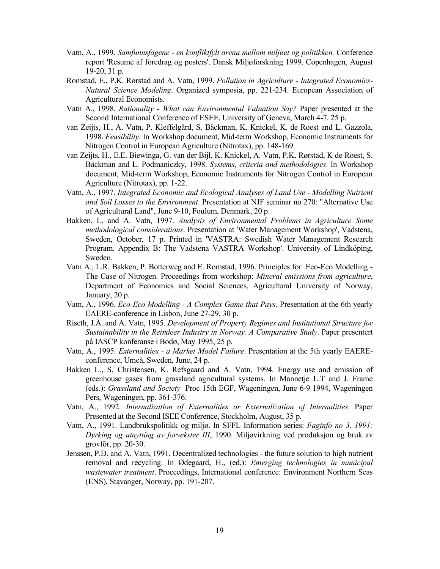- Vatn, A., 1999. Samfunnsfagene en konfliktfylt arena mellom miljøet og politikken. Conference report 'Resume af foredrag og posters'. Dansk Miljøforskning 1999. Copenhagen, August 19-20, 31 p.
- Romstad, E., P.K. Rørstad and A. Vatn, 1999. Pollution in Agriculture Integrated Economics-Natural Science Modeling. Organized symposia, pp. 221-234. European Association of Agricultural Economists.
- Vatn A., 1998. Rationality What can Environmental Valuation Say? Paper presented at the Second International Conference of ESEE, University of Geneva, March 4-7. 25 p.
- van Zeijts, H., A. Vatn, P. Kleffelgård, S. Bäckman, K. Knickel, K. de Roest and L. Gazzola, 1998. Feasibility. In Workshop document, Mid-term Workshop, Economic Instruments for Nitrogen Control in European Agriculture (Nitrotax), pp. 148-169.
- van Zeijts, H., E.E. Biewinga, G. van der Bijl, K. Knickel, A. Vatn, P.K. Rørstad, K de Roest, S. Bäckman and L. Podmaniczky, 1998. Systems, criteria and methodologies. In Workshop document, Mid-term Workshop, Economic Instruments for Nitrogen Control in European Agriculture (Nitrotax), pp. 1-22.
- Vatn, A., 1997. Integrated Economic and Ecological Analyses of Land Use Modelling Nutrient and Soil Losses to the Environment. Presentation at NJF seminar no 270: "Alternative Use of Agricultural Land", June 9-10, Foulum, Denmark, 20 p.
- Bakken, L. and A. Vatn, 1997. Analysis of Environmental Problems in Agriculture Some methodological considerations. Presentation at 'Water Management Workshop', Vadstena, Sweden, October, 17 p. Printed in 'VASTRA: Swedish Water Management Research Program. Appendix B: The Vadstena VASTRA Workshop'. University of Lindköping, Sweden.
- Vatn A., L.R. Bakken, P. Botterweg and E. Romstad, 1996. Principles for Eco-Eco Modelling The Case of Nitrogen. Proceedings from workshop: Mineral emissions from agriculture, Department of Economics and Social Sciences, Agricultural University of Norway, January, 20 p.
- Vatn, A., 1996. Eco-Eco Modelling A Complex Game that Pays. Presentation at the 6th yearly EAERE-conference in Lisbon, June 27-29, 30 p.
- Riseth, J.Å. and A. Vatn, 1995. Development of Property Regimes and Institutional Structure for Sustainability in the Reindeer Industry in Norway. A Comparative Study. Paper presentert på IASCP konferanse i Bodø, May 1995, 25 p.
- Vatn, A., 1995. Externalities a Market Model Failure. Presentation at the 5th yearly EAEREconference, Umeå, Sweden, June, 24 p.
- Bakken L., S. Christensen, K. Refsgaard and A. Vatn, 1994. Energy use and emission of greenhouse gases from grassland agricultural systems. In Mannetje L.T and J. Frame (eds.): Grassland and Society Proc 15th EGF, Wageningen, June 6-9 1994, Wageningen Pers, Wageningen, pp. 361-376.
- Vatn, A., 1992. Internalization of Externalities or Externalization of Internalities. Paper Presented at the Second ISEE Conference, Stockholm, August, 35 p.
- Vatn, A., 1991. Landbrukspolitikk og miljø. In SFFL Information series: Faginfo no 3, 1991: Dyrking og utnytting av forvekster III, 1990. Miljøvirkning ved produksjon og bruk av grovfôr, pp. 20-30.
- Jenssen, P.D. and A. Vatn, 1991. Decentralized technologies the future solution to high nutrient removal and recycling. In Ødegaard, H., (ed.): Emerging technologies in municipal wastewater treatment. Proceedings, International conference: Environment Northern Seas (ENS), Stavanger, Norway, pp. 191-207.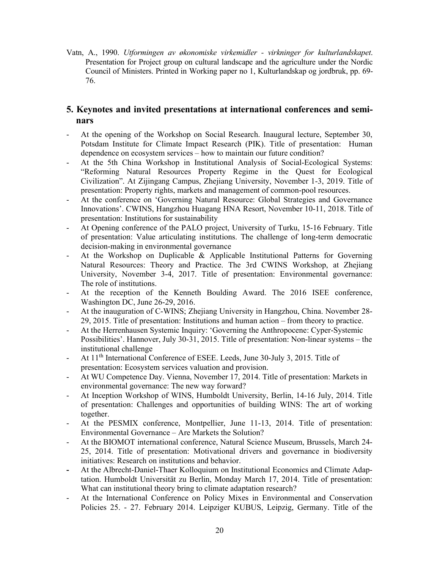Vatn, A., 1990. Utformingen av økonomiske virkemidler - virkninger for kulturlandskapet. Presentation for Project group on cultural landscape and the agriculture under the Nordic Council of Ministers. Printed in Working paper no 1, Kulturlandskap og jordbruk, pp. 69- 76.

# 5. Keynotes and invited presentations at international conferences and seminars

- At the opening of the Workshop on Social Research. Inaugural lecture, September 30, Potsdam Institute for Climate Impact Research (PIK). Title of presentation: Human dependence on ecosystem services – how to maintain our future condition?
- At the 5th China Workshop in Institutional Analysis of Social-Ecological Systems: "Reforming Natural Resources Property Regime in the Quest for Ecological Civilization". At Zijingang Campus, Zhejiang University, November 1-3, 2019. Title of presentation: Property rights, markets and management of common-pool resources.
- At the conference on 'Governing Natural Resource: Global Strategies and Governance Innovations'. CWINS, Hangzhou Huagang HNA Resort, November 10-11, 2018. Title of presentation: Institutions for sustainability
- At Opening conference of the PALO project, University of Turku, 15-16 February. Title of presentation: Value articulating institutions. The challenge of long-term democratic decision-making in environmental governance
- At the Workshop on Duplicable & Applicable Institutional Patterns for Governing Natural Resources: Theory and Practice. The 3rd CWINS Workshop, at Zhejiang University, November 3-4, 2017. Title of presentation: Environmental governance: The role of institutions.
- At the reception of the Kenneth Boulding Award. The 2016 ISEE conference, Washington DC, June 26-29, 2016.
- At the inauguration of C-WINS; Zhejiang University in Hangzhou, China. November 28- 29, 2015. Title of presentation: Institutions and human action – from theory to practice.
- At the Herrenhausen Systemic Inquiry: 'Governing the Anthropocene: Cyper-Systemic Possibilities'. Hannover, July 30-31, 2015. Title of presentation: Non-linear systems – the institutional challenge
- At 11<sup>th</sup> International Conference of ESEE. Leeds, June 30-July 3, 2015. Title of presentation: Ecosystem services valuation and provision.
- At WU Competence Day. Vienna, November 17, 2014. Title of presentation: Markets in environmental governance: The new way forward?
- At Inception Workshop of WINS, Humboldt University, Berlin, 14-16 July, 2014. Title of presentation: Challenges and opportunities of building WINS: The art of working together.
- At the PESMIX conference, Montpellier, June 11-13, 2014. Title of presentation: Environmental Governance – Are Markets the Solution?
- At the BIOMOT international conference, Natural Science Museum, Brussels, March 24- 25, 2014. Title of presentation: Motivational drivers and governance in biodiversity initiatives: Research on institutions and behavior.
- At the Albrecht-Daniel-Thaer Kolloquium on Institutional Economics and Climate Adaptation. Humboldt Universität zu Berlin, Monday March 17, 2014. Title of presentation: What can institutional theory bring to climate adaptation research?
- At the International Conference on Policy Mixes in Environmental and Conservation Policies 25. - 27. February 2014. Leipziger KUBUS, Leipzig, Germany. Title of the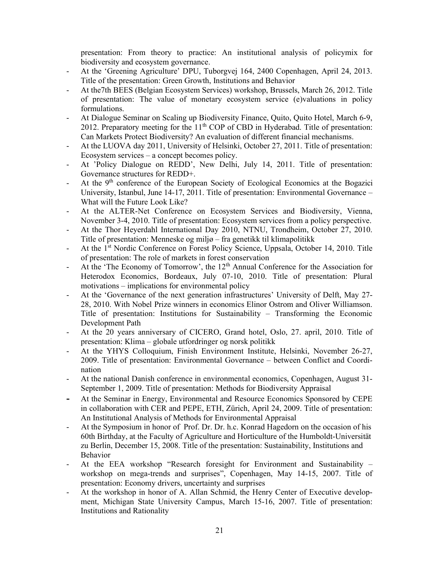presentation: From theory to practice: An institutional analysis of policymix for biodiversity and ecosystem governance.

- At the 'Greening Agriculture' DPU, Tuborgvej 164, 2400 Copenhagen, April 24, 2013. Title of the presentation: Green Growth, Institutions and Behavior
- At the7th BEES (Belgian Ecosystem Services) workshop, Brussels, March 26, 2012. Title of presentation: The value of monetary ecosystem service (e)valuations in policy formulations.
- At Dialogue Seminar on Scaling up Biodiversity Finance, Quito, Quito Hotel, March 6-9, 2012. Preparatory meeting for the  $11<sup>th</sup>$  COP of CBD in Hyderabad. Title of presentation: Can Markets Protect Biodiversity? An evaluation of different financial mechanisms.
- At the LUOVA day 2011, University of Helsinki, October 27, 2011. Title of presentation: Ecosystem services – a concept becomes policy.
- At 'Policy Dialogue on REDD', New Delhi, July 14, 2011. Title of presentation: Governance structures for REDD+.
- At the  $9<sup>th</sup>$  conference of the European Society of Ecological Economics at the Bogazici University, Istanbul, June 14-17, 2011. Title of presentation: Environmental Governance – What will the Future Look Like?
- At the ALTER-Net Conference on Ecosystem Services and Biodiversity, Vienna, November 3-4, 2010. Title of presentation: Ecosystem services from a policy perspective.
- At the Thor Heyerdahl International Day 2010, NTNU, Trondheim, October 27, 2010. Title of presentation: Menneske og miljø – fra genetikk til klimapolitikk
- At the 1<sup>st</sup> Nordic Conference on Forest Policy Science, Uppsala, October 14, 2010. Title of presentation: The role of markets in forest conservation
- At the 'The Economy of Tomorrow', the  $12<sup>th</sup>$  Annual Conference for the Association for Heterodox Economics, Bordeaux, July 07-10, 2010. Title of presentation: Plural motivations – implications for environmental policy
- At the 'Governance of the next generation infrastructures' University of Delft, May 27- 28, 2010. With Nobel Prize winners in economics Elinor Ostrom and Oliver Williamson. Title of presentation: Institutions for Sustainability – Transforming the Economic Development Path
- At the 20 years anniversary of CICERO, Grand hotel, Oslo, 27. april, 2010. Title of presentation: Klima – globale utfordringer og norsk politikk
- At the YHYS Colloquium, Finish Environment Institute, Helsinki, November 26-27, 2009. Title of presentation: Environmental Governance – between Conflict and Coordination
- At the national Danish conference in environmental economics, Copenhagen, August 31- September 1, 2009. Title of presentation: Methods for Biodiversity Appraisal
- At the Seminar in Energy, Environmental and Resource Economics Sponsored by CEPE in collaboration with CER and PEPE, ETH, Zürich, April 24, 2009. Title of presentation: An Institutional Analysis of Methods for Environmental Appraisal
- At the Symposium in honor of Prof. Dr. Dr. h.c. Konrad Hagedorn on the occasion of his 60th Birthday, at the Faculty of Agriculture and Horticulture of the Humboldt-Universität zu Berlin, December 15, 2008. Title of the presentation: Sustainability, Institutions and Behavior
- At the EEA workshop "Research foresight for Environment and Sustainability workshop on mega-trends and surprises", Copenhagen, May 14-15, 2007. Title of presentation: Economy drivers, uncertainty and surprises
- At the workshop in honor of A. Allan Schmid, the Henry Center of Executive development, Michigan State University Campus, March 15-16, 2007. Title of presentation: Institutions and Rationality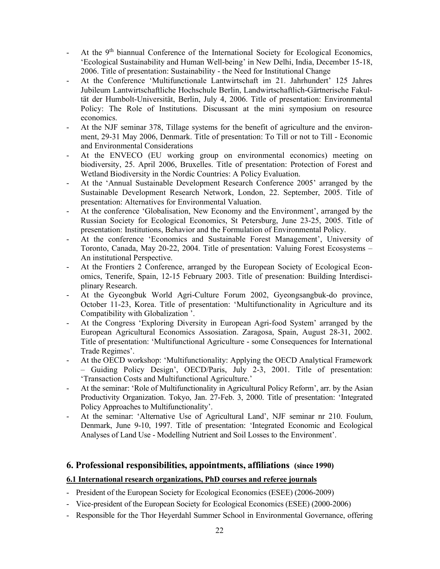- At the 9<sup>th</sup> biannual Conference of the International Society for Ecological Economics, 'Ecological Sustainability and Human Well-being' in New Delhi, India, December 15-18, 2006. Title of presentation: Sustainability - the Need for Institutional Change
- At the Conference 'Multifunctionale Lantwirtschaft im 21. Jahrhundert' 125 Jahres Jubileum Lantwirtschaftliche Hochschule Berlin, Landwirtschaftlich-Gärtnerische Fakultät der Humbolt-Universität, Berlin, July 4, 2006. Title of presentation: Environmental Policy: The Role of Institutions. Discussant at the mini symposium on resource economics.
- At the NJF seminar 378, Tillage systems for the benefit of agriculture and the environment, 29-31 May 2006, Denmark. Title of presentation: To Till or not to Till - Economic and Environmental Considerations
- At the ENVECO (EU working group on environmental economics) meeting on biodiversity, 25. April 2006, Bruxelles. Title of presentation: Protection of Forest and Wetland Biodiversity in the Nordic Countries: A Policy Evaluation.
- At the 'Annual Sustainable Development Research Conference 2005' arranged by the Sustainable Development Research Network, London, 22. September, 2005. Title of presentation: Alternatives for Environmental Valuation.
- At the conference 'Globalisation, New Economy and the Environment', arranged by the Russian Society for Ecological Economics, St Petersburg, June 23-25, 2005. Title of presentation: Institutions, Behavior and the Formulation of Environmental Policy.
- At the conference 'Economics and Sustainable Forest Management', University of Toronto, Canada, May 20-22, 2004. Title of presentation: Valuing Forest Ecosystems – An institutional Perspective.
- At the Frontiers 2 Conference, arranged by the European Society of Ecological Economics, Tenerife, Spain, 12-15 February 2003. Title of presenation: Building Interdisciplinary Research.
- At the Gyeongbuk World Agri-Culture Forum 2002, Gyeongsangbuk-do province, October 11-23, Korea. Title of presentation: 'Multifunctionality in Agriculture and its Compatibility with Globalization '.
- At the Congress 'Exploring Diversity in European Agri-food System' arranged by the European Agricultural Economics Assosiation. Zaragosa, Spain, August 28-31, 2002. Title of presentation: 'Multifunctional Agriculture - some Consequences for International Trade Regimes'.
- At the OECD workshop: 'Multifunctionality: Applying the OECD Analytical Framework – Guiding Policy Design', OECD/Paris, July 2-3, 2001. Title of presentation: 'Transaction Costs and Multifunctional Agriculture.'
- At the seminar: 'Role of Multifunctionality in Agricultural Policy Reform', arr. by the Asian Productivity Organization. Tokyo, Jan. 27-Feb. 3, 2000. Title of presentation: 'Integrated Policy Approaches to Multifunctionality'.
- At the seminar: 'Alternative Use of Agricultural Land', NJF seminar nr 210. Foulum, Denmark, June 9-10, 1997. Title of presentation: 'Integrated Economic and Ecological Analyses of Land Use - Modelling Nutrient and Soil Losses to the Environment'.

# 6. Professional responsibilities, appointments, affiliations (since 1990)

### 6.1 International research organizations, PhD courses and referee journals

- President of the European Society for Ecological Economics (ESEE) (2006-2009)
- Vice-president of the European Society for Ecological Economics (ESEE) (2000-2006)
- Responsible for the Thor Heyerdahl Summer School in Environmental Governance, offering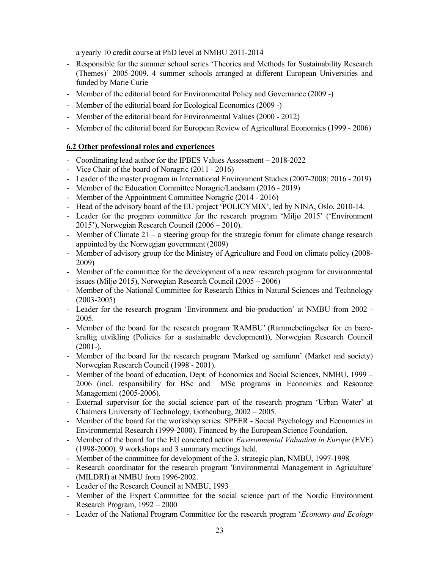a yearly 10 credit course at PhD level at NMBU 2011-2014

- Responsible for the summer school series 'Theories and Methods for Sustainability Research (Themes)' 2005-2009. 4 summer schools arranged at different European Universities and funded by Marie Curie
- Member of the editorial board for Environmental Policy and Governance (2009 -)
- Member of the editorial board for Ecological Economics (2009 -)
- Member of the editorial board for Environmental Values (2000 2012)
- Member of the editorial board for European Review of Agricultural Economics (1999 2006)

# 6.2 Other professional roles and experiences

- Coordinating lead author for the IPBES Values Assessment 2018-2022
- Vice Chair of the board of Noragric (2011 2016)
- Leader of the master program in International Environment Studies (2007-2008; 2016 2019)
- Member of the Education Committee Noragric/Landsam (2016 2019)
- Member of the Appointment Committee Noragric (2014 2016)
- Head of the advisory board of the EU project 'POLICYMIX', led by NINA, Oslo, 2010-14.
- Leader for the program committee for the research program 'Miljø 2015' ('Environment 2015'), Norwegian Research Council (2006 – 2010).
- Member of Climate 21 a steering group for the strategic forum for climate change research appointed by the Norwegian government (2009)
- Member of advisory group for the Ministry of Agriculture and Food on climate policy (2008- 2009)
- Member of the committee for the development of a new research program for environmental issues (Miljø 2015), Norwegian Research Council (2005 – 2006)
- Member of the National Committee for Research Ethics in Natural Sciences and Technology (2003-2005)
- Leader for the research program 'Environment and bio-production' at NMBU from 2002 2005.
- Member of the board for the research program 'RAMBU' (Rammebetingelser for en bærekraftig utvikling (Policies for a sustainable development)), Norwegian Research Council  $(2001-).$
- Member of the board for the research program 'Marked og samfunn' (Market and society) Norwegian Research Council (1998 - 2001).
- Member of the board of education, Dept. of Economics and Social Sciences, NMBU, 1999 2006 (incl. responsibility for BSc and MSc programs in Economics and Resource Management (2005-2006).
- External supervisor for the social science part of the research program 'Urban Water' at Chalmers University of Technology, Gothenburg, 2002 – 2005.
- Member of the board for the workshop series: SPEER Social Psychology and Economics in Environmental Research (1999-2000). Financed by the European Science Foundation.
- Member of the board for the EU concerted action *Environmental Valuation in Europe* (EVE) (1998-2000). 9 workshops and 3 summary meetings held.
- Member of the committee for development of the 3. strategic plan, NMBU, 1997-1998
- Research coordinator for the research program 'Environmental Management in Agriculture' (MILDRI) at NMBU from 1996-2002.
- Leader of the Research Council at NMBU, 1993
- Member of the Expert Committee for the social science part of the Nordic Environment Research Program, 1992 – 2000
- Leader of the National Program Committee for the research program '*Economy and Ecology*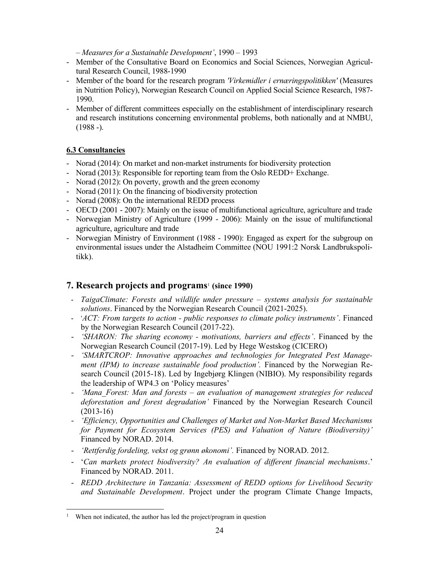– Measures for a Sustainable Development', 1990 – 1993

- Member of the Consultative Board on Economics and Social Sciences, Norwegian Agricultural Research Council, 1988-1990
- Member of the board for the research program *'Virkemidler i ernæringspolitikken'* (Measures in Nutrition Policy), Norwegian Research Council on Applied Social Science Research, 1987- 1990.
- Member of different committees especially on the establishment of interdisciplinary research and research institutions concerning environmental problems, both nationally and at NMBU,  $(1988 -).$

# 6.3 Consultancies

- Norad (2014): On market and non-market instruments for biodiversity protection
- Norad (2013): Responsible for reporting team from the Oslo REDD+ Exchange.
- Norad (2012): On poverty, growth and the green economy
- Norad (2011): On the financing of biodiversity protection
- Norad (2008): On the international REDD process
- OECD (2001 2007): Mainly on the issue of multifunctional agriculture, agriculture and trade
- Norwegian Ministry of Agriculture (1999 2006): Mainly on the issue of multifunctional agriculture, agriculture and trade
- Norwegian Ministry of Environment (1988 1990): Engaged as expert for the subgroup on environmental issues under the Alstadheim Committee (NOU 1991:2 Norsk Landbrukspolitikk).

# 7. Research projects and programs<sup>1</sup> (since 1990)

- TaigaClimate: Forests and wildlife under pressure systems analysis for sustainable solutions. Financed by the Norwegian Research Council (2021-2025).
- 'ACT: From targets to action public responses to climate policy instruments'. Financed by the Norwegian Research Council (2017-22).
- 'SHARON: The sharing economy motivations, barriers and effects'. Financed by the Norwegian Research Council (2017-19). Led by Hege Westskog (CICERO)
- 'SMARTCROP: Innovative approaches and technologies for Integrated Pest Management (IPM) to increase sustainable food production'. Financed by the Norwegian Research Council (2015-18). Led by Ingebjørg Klingen (NIBIO). My responsibility regards the leadership of WP4.3 on 'Policy measures'
- $'$ Mana Forest: Man and forests an evaluation of management strategies for reduced deforestation and forest degradation' Financed by the Norwegian Research Council (2013-16)
- 'Efficiency, Opportunities and Challenges of Market and Non-Market Based Mechanisms for Payment for Ecosystem Services (PES) and Valuation of Nature (Biodiversity)' Financed by NORAD. 2014.
- 'Rettferdig fordeling, vekst og grønn økonomi'. Financed by NORAD. 2012.
- 'Can markets protect biodiversity? An evaluation of different financial mechanisms.' Financed by NORAD. 2011.
- REDD Architecture in Tanzania: Assessment of REDD options for Livelihood Security and Sustainable Development. Project under the program Climate Change Impacts,

<sup>1</sup> When not indicated, the author has led the project/program in question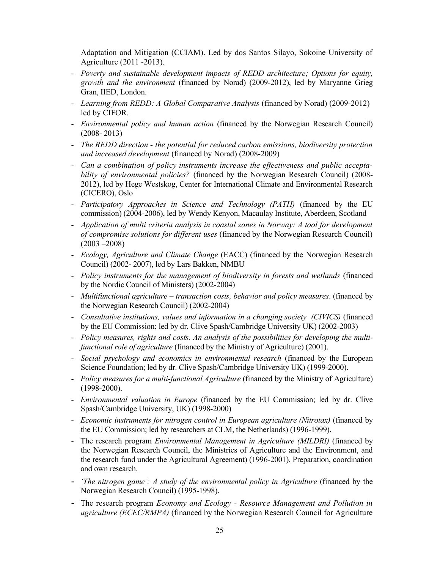Adaptation and Mitigation (CCIAM). Led by dos Santos Silayo, Sokoine University of Agriculture (2011 -2013).

- Poverty and sustainable development impacts of REDD architecture; Options for equity, growth and the environment (financed by Norad) (2009-2012), led by Maryanne Grieg Gran, IIED, London.
- Learning from REDD: A Global Comparative Analysis (financed by Norad) (2009-2012) led by CIFOR.
- Environmental policy and human action (financed by the Norwegian Research Council) (2008- 2013)
- The REDD direction the potential for reduced carbon emissions, biodiversity protection and increased development (financed by Norad) (2008-2009)
- Can a combination of policy instruments increase the effectiveness and public acceptability of environmental policies? (financed by the Norwegian Research Council) (2008-2012), led by Hege Westskog, Center for International Climate and Environmental Research (CICERO), Oslo
- Participatory Approaches in Science and Technology (PATH) (financed by the EU commission) (2004-2006), led by Wendy Kenyon, Macaulay Institute, Aberdeen, Scotland
- Application of multi criteria analysis in coastal zones in Norway: A tool for development of compromise solutions for different uses (financed by the Norwegian Research Council)  $(2003 - 2008)$
- Ecology, Agriculture and Climate Change (EACC) (financed by the Norwegian Research Council) (2002- 2007), led by Lars Bakken, NMBU
- Policy instruments for the management of biodiversity in forests and wetlands (financed by the Nordic Council of Ministers) (2002-2004)
- Multifunctional agriculture transaction costs, behavior and policy measures. (financed by the Norwegian Research Council) (2002-2004)
- Consultative institutions, values and information in a changing society (CIVICS) (financed by the EU Commission; led by dr. Clive Spash/Cambridge University UK) (2002-2003)
- Policy measures, rights and costs. An analysis of the possibilities for developing the multifunctional role of agriculture (financed by the Ministry of Agriculture) (2001).
- Social psychology and economics in environmental research (financed by the European Science Foundation; led by dr. Clive Spash/Cambridge University UK) (1999-2000).
- Policy measures for a multi-functional Agriculture (financed by the Ministry of Agriculture) (1998-2000).
- Environmental valuation in Europe (financed by the EU Commission; led by dr. Clive Spash/Cambridge University, UK) (1998-2000)
- Economic instruments for nitrogen control in European agriculture (Nitrotax) (financed by the EU Commission; led by researchers at CLM, the Netherlands) (1996-1999).
- The research program Environmental Management in Agriculture (MILDRI) (financed by the Norwegian Research Council, the Ministries of Agriculture and the Environment, and the research fund under the Agricultural Agreement) (1996-2001). Preparation, coordination and own research.
- 'The nitrogen game': A study of the environmental policy in Agriculture (financed by the Norwegian Research Council) (1995-1998).
- The research program Economy and Ecology Resource Management and Pollution in agriculture (ECEC/RMPA) (financed by the Norwegian Research Council for Agriculture